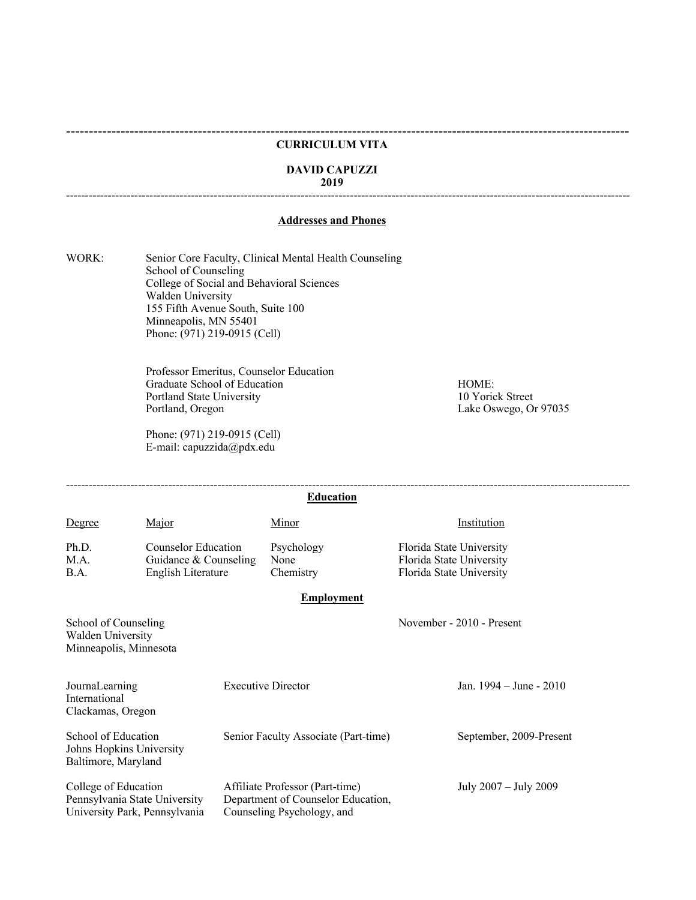### **CURRICULUM VITA**

# **DAVID CAPUZZI**

# **2019**

# **Addresses and Phones**

WORK: Senior Core Faculty, Clinical Mental Health Counseling School of Counseling College of Social and Behavioral Sciences Walden University 155 Fifth Avenue South, Suite 100 Minneapolis, MN 55401 Phone: (971) 219-0915 (Cell)

> Professor Emeritus, Counselor Education Graduate School of Education HOME: Portland State University 10 Yorick Street<br>
> Portland, Oregon<br>
> Lake Oswego, Or

Phone: (971) 219-0915 (Cell) E-mail: capuzzida@pdx.edu

Lake Oswego, Or 97035

----------------------------------------------------------------------------------------------------------------------------

-----------------------------------------------------------------------------------------------------------------------------------------------------

|                                                                                        |                                                                    |                           | <b>Education</b>                                                                                    |                                                                                  |  |
|----------------------------------------------------------------------------------------|--------------------------------------------------------------------|---------------------------|-----------------------------------------------------------------------------------------------------|----------------------------------------------------------------------------------|--|
| Degree                                                                                 | Major                                                              |                           | Minor                                                                                               | Institution                                                                      |  |
| Ph.D.<br>M.A.<br>B.A.                                                                  | Counselor Education<br>Guidance & Counseling<br>English Literature |                           | Psychology<br>None<br>Chemistry                                                                     | Florida State University<br>Florida State University<br>Florida State University |  |
|                                                                                        |                                                                    |                           | <b>Employment</b>                                                                                   |                                                                                  |  |
| School of Counseling<br>Walden University<br>Minneapolis, Minnesota                    |                                                                    |                           |                                                                                                     | November - 2010 - Present                                                        |  |
| JournaLearning<br>International<br>Clackamas, Oregon                                   |                                                                    | <b>Executive Director</b> |                                                                                                     | Jan. $1994 - June - 2010$                                                        |  |
| School of Education<br>Johns Hopkins University<br>Baltimore, Maryland                 |                                                                    |                           | Senior Faculty Associate (Part-time)                                                                | September, 2009-Present                                                          |  |
| College of Education<br>Pennsylvania State University<br>University Park, Pennsylvania |                                                                    |                           | Affiliate Professor (Part-time)<br>Department of Counselor Education,<br>Counseling Psychology, and | July 2007 - July 2009                                                            |  |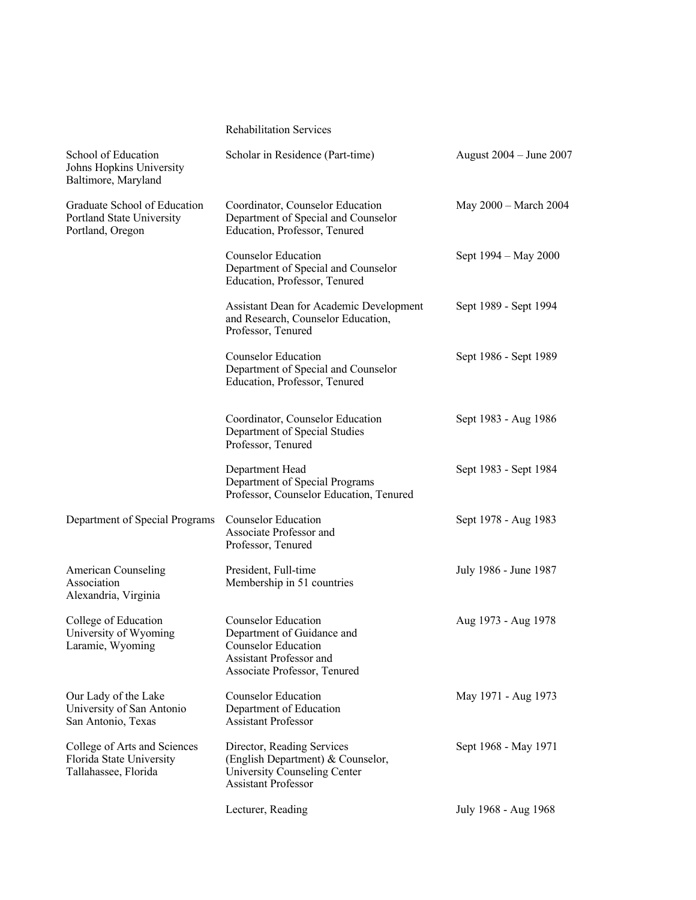# Rehabilitation Services

| School of Education<br>Johns Hopkins University<br>Baltimore, Maryland           | Scholar in Residence (Part-time)                                                                                                           | August 2004 – June 2007 |
|----------------------------------------------------------------------------------|--------------------------------------------------------------------------------------------------------------------------------------------|-------------------------|
| Graduate School of Education<br>Portland State University<br>Portland, Oregon    | Coordinator, Counselor Education<br>Department of Special and Counselor<br>Education, Professor, Tenured                                   | May 2000 - March 2004   |
|                                                                                  | <b>Counselor Education</b><br>Department of Special and Counselor<br>Education, Professor, Tenured                                         | Sept 1994 – May 2000    |
|                                                                                  | Assistant Dean for Academic Development<br>and Research, Counselor Education,<br>Professor, Tenured                                        | Sept 1989 - Sept 1994   |
|                                                                                  | <b>Counselor Education</b><br>Department of Special and Counselor<br>Education, Professor, Tenured                                         | Sept 1986 - Sept 1989   |
|                                                                                  | Coordinator, Counselor Education<br>Department of Special Studies<br>Professor, Tenured                                                    | Sept 1983 - Aug 1986    |
|                                                                                  | Department Head<br>Department of Special Programs<br>Professor, Counselor Education, Tenured                                               | Sept 1983 - Sept 1984   |
| Department of Special Programs                                                   | Counselor Education<br>Associate Professor and<br>Professor, Tenured                                                                       | Sept 1978 - Aug 1983    |
| <b>American Counseling</b><br>Association<br>Alexandria, Virginia                | President, Full-time<br>Membership in 51 countries                                                                                         | July 1986 - June 1987   |
| College of Education<br>University of Wyoming<br>Laramie, Wyoming                | Counselor Education<br>Department of Guidance and<br><b>Counselor Education</b><br>Assistant Professor and<br>Associate Professor, Tenured | Aug 1973 - Aug 1978     |
| Our Lady of the Lake<br>University of San Antonio<br>San Antonio, Texas          | <b>Counselor Education</b><br>Department of Education<br><b>Assistant Professor</b>                                                        | May 1971 - Aug 1973     |
| College of Arts and Sciences<br>Florida State University<br>Tallahassee, Florida | Director, Reading Services<br>(English Department) & Counselor,<br>University Counseling Center<br><b>Assistant Professor</b>              | Sept 1968 - May 1971    |
|                                                                                  | Lecturer, Reading                                                                                                                          | July 1968 - Aug 1968    |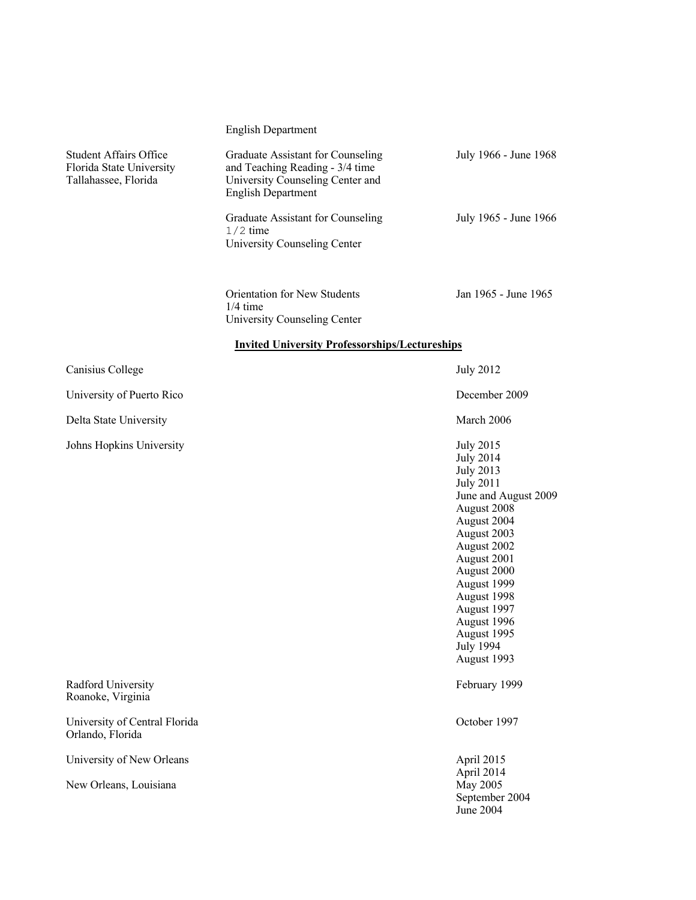| <b>English Department</b> |  |  |  |  |  |  |
|---------------------------|--|--|--|--|--|--|
|---------------------------|--|--|--|--|--|--|

| Student Affairs Office<br>Florida State University<br>Tallahassee, Florida | Graduate Assistant for Counseling<br>and Teaching Reading - 3/4 time<br>University Counseling Center and<br><b>English Department</b> | July 1966 - June 1968 |  |  |
|----------------------------------------------------------------------------|---------------------------------------------------------------------------------------------------------------------------------------|-----------------------|--|--|
|                                                                            | Graduate Assistant for Counseling<br>$1/2$ time<br>University Counseling Center                                                       | July 1965 - June 1966 |  |  |
|                                                                            | <b>Orientation for New Students</b><br>$1/4$ time<br>University Counseling Center                                                     | Jan 1965 - June 1965  |  |  |
|                                                                            | <b>Invited University Professorships/Lectureships</b>                                                                                 |                       |  |  |
| Canisius College                                                           |                                                                                                                                       | <b>July 2012</b>      |  |  |
| University of Puerto Rico                                                  |                                                                                                                                       | December 2009         |  |  |

Delta State University March 2006

Johns Hopkins University July 2015

July 2014 July 2013 July 2011 June and August 2009 August 2008 August 2004 August 2003 August 2002 August 2001 August 2000 August 1999 August 1998 August 1997 August 1996 August 1995 July 1994 August 1993

April 2014 September 2004 June 2004

Radford University February 1999 Roanoke, Virginia

University of Central Florida October 1997 Orlando, Florida

University of New Orleans April 2015

New Orleans, Louisiana May 2005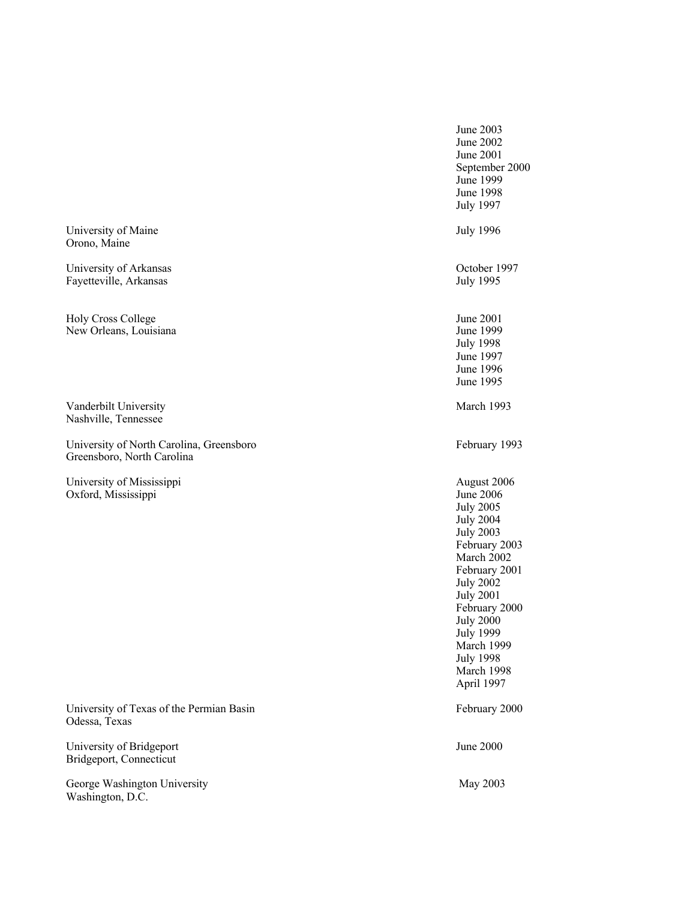June 2003 June 2002 June 2001 September 2000 June 1999 June 1998 July 1997 University of Maine July 1996 Orono, Maine University of Arkansas Corober 1997<br>
Fayetteville, Arkansas Corober 1997<br>
University of Arkansas Corober 1997 Fayetteville, Arkansas Holy Cross College June 2001 New Orleans, Louisiana June 1999 July 1998 June 1997 June 1996 June 1995 Vanderbilt University March 1993 Nashville, Tennessee University of North Carolina, Greensboro February 1993 Greensboro, North Carolina University of Mississippi August 2006 Oxford, Mississippi June 2006 July 2005 July 2004 July 2003 February 2003 March 2002 February 2001 July 2002 July 2001 February 2000 July 2000 July 1999 March 1999 July 1998 March 1998 April 1997 University of Texas of the Permian Basin February 2000 Odessa, Texas University of Bridgeport June 2000 Bridgeport, Connecticut George Washington University May 2003 Washington, D.C.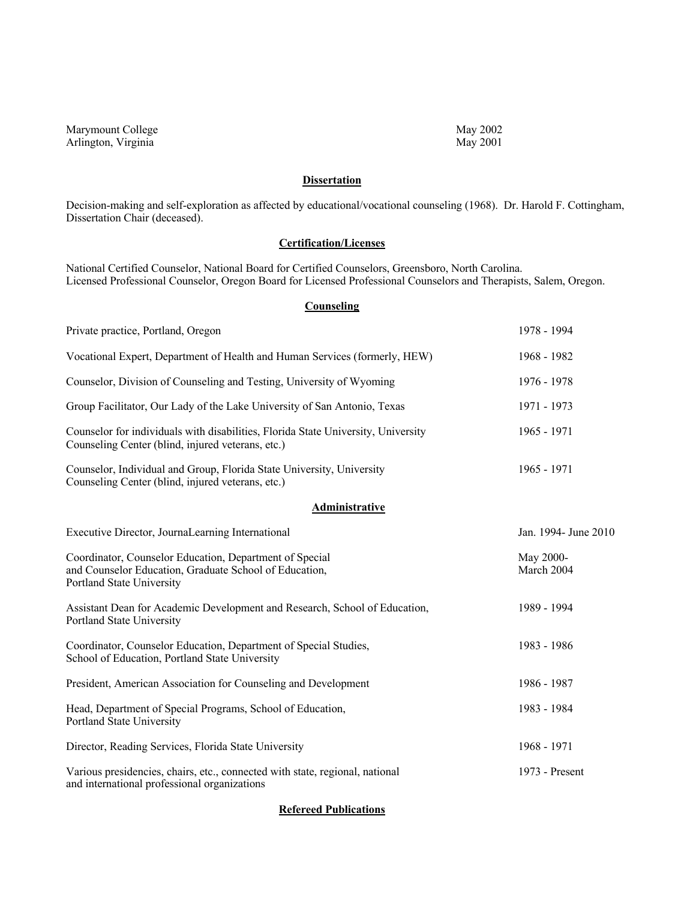Marymount College May 2002<br>Arlington, Virginia May 2001 Arlington, Virginia

# **Dissertation**

Decision-making and self-exploration as affected by educational/vocational counseling (1968). Dr. Harold F. Cottingham, Dissertation Chair (deceased).

# **Certification/Licenses**

National Certified Counselor, National Board for Certified Counselors, Greensboro, North Carolina. Licensed Professional Counselor, Oregon Board for Licensed Professional Counselors and Therapists, Salem, Oregon.

# **Counseling**

| Private practice, Portland, Oregon                                                                                                             | 1978 - 1994             |
|------------------------------------------------------------------------------------------------------------------------------------------------|-------------------------|
| Vocational Expert, Department of Health and Human Services (formerly, HEW)                                                                     | 1968 - 1982             |
| Counselor, Division of Counseling and Testing, University of Wyoming                                                                           | 1976 - 1978             |
| Group Facilitator, Our Lady of the Lake University of San Antonio, Texas                                                                       | 1971 - 1973             |
| Counselor for individuals with disabilities, Florida State University, University<br>Counseling Center (blind, injured veterans, etc.)         | 1965 - 1971             |
| Counselor, Individual and Group, Florida State University, University<br>Counseling Center (blind, injured veterans, etc.)                     | 1965 - 1971             |
| Administrative                                                                                                                                 |                         |
| Executive Director, JournaLearning International                                                                                               | Jan. 1994- June 2010    |
| Coordinator, Counselor Education, Department of Special<br>and Counselor Education, Graduate School of Education,<br>Portland State University | May 2000-<br>March 2004 |
| Assistant Dean for Academic Development and Research, School of Education,<br>Portland State University                                        | 1989 - 1994             |
| Coordinator, Counselor Education, Department of Special Studies,<br>School of Education, Portland State University                             | 1983 - 1986             |
| President, American Association for Counseling and Development                                                                                 | 1986 - 1987             |
| Head, Department of Special Programs, School of Education,<br>Portland State University                                                        | 1983 - 1984             |
| Director, Reading Services, Florida State University                                                                                           | 1968 - 1971             |
| Various presidencies, chairs, etc., connected with state, regional, national<br>and international professional organizations                   | 1973 - Present          |

**Refereed Publications**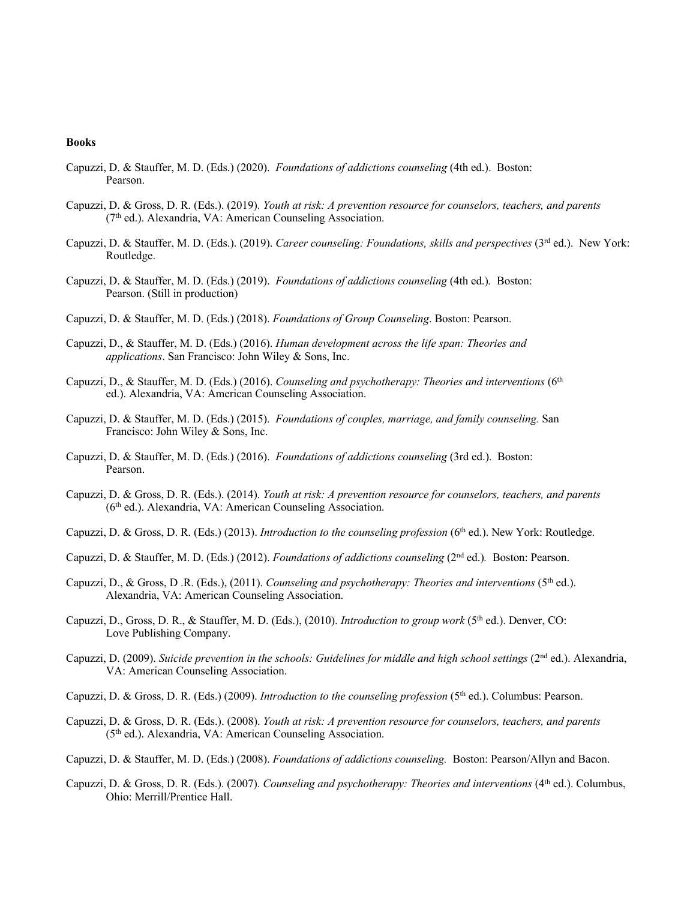#### **Books**

- Capuzzi, D. & Stauffer, M. D. (Eds.) (2020). *Foundations of addictions counseling* (4th ed.). Boston: Pearson.
- Capuzzi, D. & Gross, D. R. (Eds.). (2019). *Youth at risk: A prevention resource for counselors, teachers, and parents*  (7th ed.). Alexandria, VA: American Counseling Association.
- Capuzzi, D. & Stauffer, M. D. (Eds.). (2019). *Career counseling: Foundations, skills and perspectives* (3<sup>rd</sup> ed.). New York: Routledge.
- Capuzzi, D. & Stauffer, M. D. (Eds.) (2019). *Foundations of addictions counseling* (4th ed.)*.* Boston: Pearson. (Still in production)
- Capuzzi, D. & Stauffer, M. D. (Eds.) (2018). *Foundations of Group Counseling*. Boston: Pearson.
- Capuzzi, D., & Stauffer, M. D. (Eds.) (2016). *Human development across the life span: Theories and applications*. San Francisco: John Wiley & Sons, Inc.
- Capuzzi, D., & Stauffer, M. D. (Eds.) (2016). *Counseling and psychotherapy: Theories and interventions* (6<sup>th</sup> ed.). Alexandria, VA: American Counseling Association.
- Capuzzi, D. & Stauffer, M. D. (Eds.) (2015). *Foundations of couples, marriage, and family counseling.* San Francisco: John Wiley & Sons, Inc.
- Capuzzi, D. & Stauffer, M. D. (Eds.) (2016). *Foundations of addictions counseling* (3rd ed.). Boston: Pearson.
- Capuzzi, D. & Gross, D. R. (Eds.). (2014). *Youth at risk: A prevention resource for counselors, teachers, and parents*  (6th ed.). Alexandria, VA: American Counseling Association.
- Capuzzi, D. & Gross, D. R. (Eds.) (2013). *Introduction to the counseling profession* (6<sup>th</sup> ed.). New York: Routledge.
- Capuzzi, D. & Stauffer, M. D. (Eds.) (2012). *Foundations of addictions counseling* (2nd ed.)*.* Boston: Pearson.
- Capuzzi, D., & Gross, D.R. (Eds.), (2011). *Counseling and psychotherapy: Theories and interventions* (5<sup>th</sup> ed.). Alexandria, VA: American Counseling Association.
- Capuzzi, D., Gross, D. R., & Stauffer, M. D. (Eds.), (2010). *Introduction to group work* (5th ed.). Denver, CO: Love Publishing Company.
- Capuzzi, D. (2009). *Suicide prevention in the schools: Guidelines for middle and high school settings* (2<sup>nd</sup> ed.). Alexandria, VA: American Counseling Association.
- Capuzzi, D. & Gross, D. R. (Eds.) (2009). *Introduction to the counseling profession* (5<sup>th</sup> ed.). Columbus: Pearson.
- Capuzzi, D. & Gross, D. R. (Eds.). (2008). *Youth at risk: A prevention resource for counselors, teachers, and parents*  (5th ed.). Alexandria, VA: American Counseling Association.
- Capuzzi, D. & Stauffer, M. D. (Eds.) (2008). *Foundations of addictions counseling.* Boston: Pearson/Allyn and Bacon.
- Capuzzi, D. & Gross, D. R. (Eds.). (2007). *Counseling and psychotherapy: Theories and interventions* (4<sup>th</sup> ed.). Columbus, Ohio: Merrill/Prentice Hall.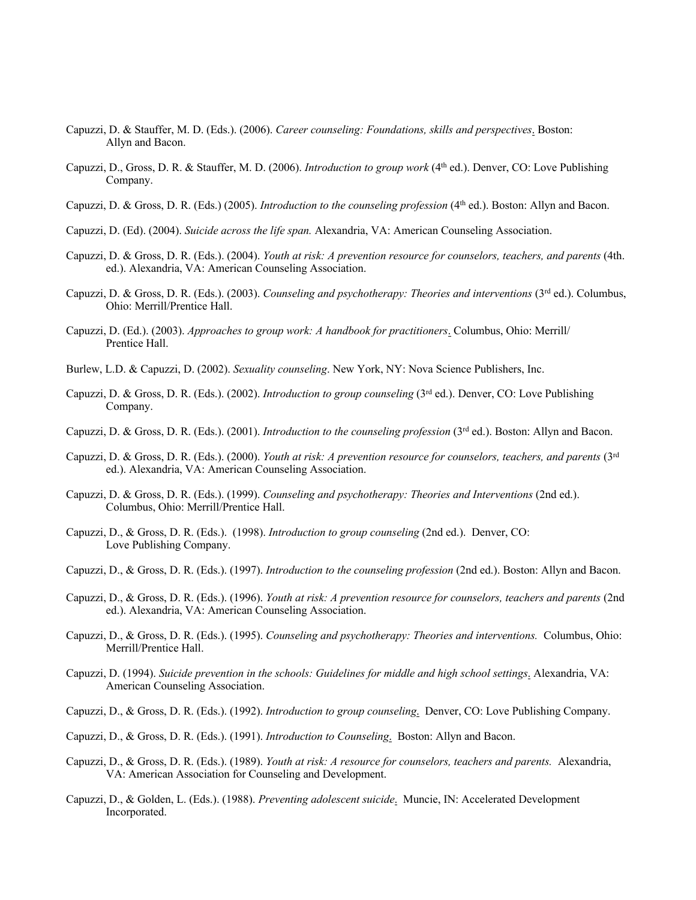- Capuzzi, D. & Stauffer, M. D. (Eds.). (2006). *Career counseling: Foundations, skills and perspectives*. Boston: Allyn and Bacon.
- Capuzzi, D., Gross, D. R. & Stauffer, M. D. (2006). *Introduction to group work* (4th ed.). Denver, CO: Love Publishing Company.
- Capuzzi, D. & Gross, D. R. (Eds.) (2005). *Introduction to the counseling profession* (4th ed.). Boston: Allyn and Bacon.
- Capuzzi, D. (Ed). (2004). *Suicide across the life span.* Alexandria, VA: American Counseling Association.
- Capuzzi, D. & Gross, D. R. (Eds.). (2004). *Youth at risk: A prevention resource for counselors, teachers, and parents* (4th. ed.). Alexandria, VA: American Counseling Association.
- Capuzzi, D. & Gross, D. R. (Eds.). (2003). *Counseling and psychotherapy: Theories and interventions* (3rd ed.). Columbus, Ohio: Merrill/Prentice Hall.
- Capuzzi, D. (Ed.). (2003). *Approaches to group work: A handbook for practitioners*. Columbus, Ohio: Merrill/ Prentice Hall.
- Burlew, L.D. & Capuzzi, D. (2002). *Sexuality counseling*. New York, NY: Nova Science Publishers, Inc.
- Capuzzi, D. & Gross, D. R. (Eds.). (2002). *Introduction to group counseling* (3rd ed.). Denver, CO: Love Publishing Company.
- Capuzzi, D. & Gross, D. R. (Eds.). (2001). *Introduction to the counseling profession* (3rd ed.). Boston: Allyn and Bacon.
- Capuzzi, D. & Gross, D. R. (Eds.). (2000). *Youth at risk: A prevention resource for counselors, teachers, and parents* (3rd ed.). Alexandria, VA: American Counseling Association.
- Capuzzi, D. & Gross, D. R. (Eds.). (1999). *Counseling and psychotherapy: Theories and Interventions* (2nd ed.). Columbus, Ohio: Merrill/Prentice Hall.
- Capuzzi, D., & Gross, D. R. (Eds.). (1998). *Introduction to group counseling* (2nd ed.). Denver, CO: Love Publishing Company.
- Capuzzi, D., & Gross, D. R. (Eds.). (1997). *Introduction to the counseling profession* (2nd ed.). Boston: Allyn and Bacon.
- Capuzzi, D., & Gross, D. R. (Eds.). (1996). *Youth at risk: A prevention resource for counselors, teachers and parents* (2nd ed.). Alexandria, VA: American Counseling Association.
- Capuzzi, D., & Gross, D. R. (Eds.). (1995). *Counseling and psychotherapy: Theories and interventions.* Columbus, Ohio: Merrill/Prentice Hall.
- Capuzzi, D. (1994). *Suicide prevention in the schools: Guidelines for middle and high school settings*. Alexandria, VA: American Counseling Association.
- Capuzzi, D., & Gross, D. R. (Eds.). (1992). *Introduction to group counseling*. Denver, CO: Love Publishing Company.
- Capuzzi, D., & Gross, D. R. (Eds.). (1991). *Introduction to Counseling*. Boston: Allyn and Bacon.
- Capuzzi, D., & Gross, D. R. (Eds.). (1989). *Youth at risk: A resource for counselors, teachers and parents.* Alexandria, VA: American Association for Counseling and Development.
- Capuzzi, D., & Golden, L. (Eds.). (1988). *Preventing adolescent suicide*. Muncie, IN: Accelerated Development Incorporated.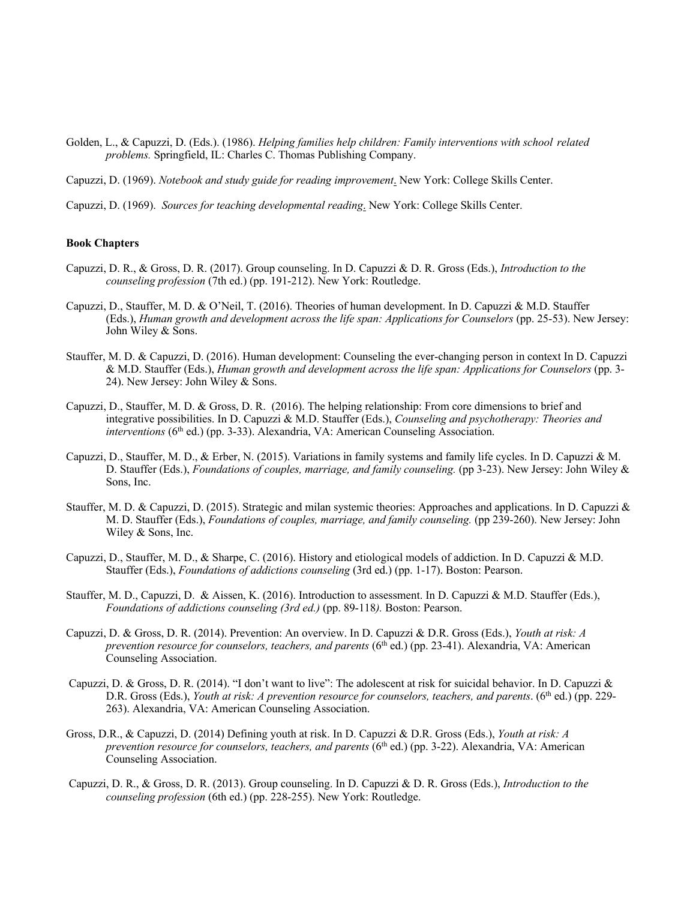Golden, L., & Capuzzi, D. (Eds.). (1986). *Helping families help children: Family interventions with school related problems.* Springfield, IL: Charles C. Thomas Publishing Company.

Capuzzi, D. (1969). *Notebook and study guide for reading improvement*. New York: College Skills Center.

Capuzzi, D. (1969). *Sources for teaching developmental reading*. New York: College Skills Center.

## **Book Chapters**

- Capuzzi, D. R., & Gross, D. R. (2017). Group counseling. In D. Capuzzi & D. R. Gross (Eds.), *Introduction to the counseling profession* (7th ed.) (pp. 191-212). New York: Routledge.
- Capuzzi, D., Stauffer, M. D. & O'Neil, T. (2016). Theories of human development. In D. Capuzzi & M.D. Stauffer (Eds.), *Human growth and development across the life span: Applications for Counselors* (pp. 25-53). New Jersey: John Wiley & Sons.
- Stauffer, M. D. & Capuzzi, D. (2016). Human development: Counseling the ever-changing person in context In D. Capuzzi & M.D. Stauffer (Eds.), *Human growth and development across the life span: Applications for Counselors* (pp. 3- 24). New Jersey: John Wiley & Sons.
- Capuzzi, D., Stauffer, M. D. & Gross, D. R. (2016). The helping relationship: From core dimensions to brief and integrative possibilities. In D. Capuzzi & M.D. Stauffer (Eds.), *Counseling and psychotherapy: Theories and interventions* (6<sup>th</sup> ed.) (pp. 3-33). Alexandria, VA: American Counseling Association.
- Capuzzi, D., Stauffer, M. D., & Erber, N. (2015). Variations in family systems and family life cycles. In D. Capuzzi & M. D. Stauffer (Eds.), *Foundations of couples, marriage, and family counseling.* (pp 3-23). New Jersey: John Wiley & Sons, Inc.
- Stauffer, M. D. & Capuzzi, D. (2015). Strategic and milan systemic theories: Approaches and applications. In D. Capuzzi & M. D. Stauffer (Eds.), *Foundations of couples, marriage, and family counseling.* (pp 239-260). New Jersey: John Wiley & Sons, Inc.
- Capuzzi, D., Stauffer, M. D., & Sharpe, C. (2016). History and etiological models of addiction. In D. Capuzzi & M.D. Stauffer (Eds.), *Foundations of addictions counseling* (3rd ed.) (pp. 1-17). Boston: Pearson.
- Stauffer, M. D., Capuzzi, D. & Aissen, K. (2016). Introduction to assessment. In D. Capuzzi & M.D. Stauffer (Eds.), *Foundations of addictions counseling (3rd ed.)* (pp. 89-118*).* Boston: Pearson.
- Capuzzi, D. & Gross, D. R. (2014). Prevention: An overview. In D. Capuzzi & D.R. Gross (Eds.), *Youth at risk: A prevention resource for counselors, teachers, and parents* (6<sup>th</sup> ed.) (pp. 23-41). Alexandria, VA: American Counseling Association.
- Capuzzi, D. & Gross, D. R. (2014). "I don't want to live": The adolescent at risk for suicidal behavior. In D. Capuzzi & D.R. Gross (Eds.), *Youth at risk: A prevention resource for counselors, teachers, and parents*. (6<sup>th</sup> ed.) (pp. 229-263). Alexandria, VA: American Counseling Association.
- Gross, D.R., & Capuzzi, D. (2014) Defining youth at risk. In D. Capuzzi & D.R. Gross (Eds.), *Youth at risk: A prevention resource for counselors, teachers, and parents* (6<sup>th</sup> ed.) (pp. 3-22). Alexandria, VA: American Counseling Association.
- Capuzzi, D. R., & Gross, D. R. (2013). Group counseling. In D. Capuzzi & D. R. Gross (Eds.), *Introduction to the counseling profession* (6th ed.) (pp. 228-255). New York: Routledge.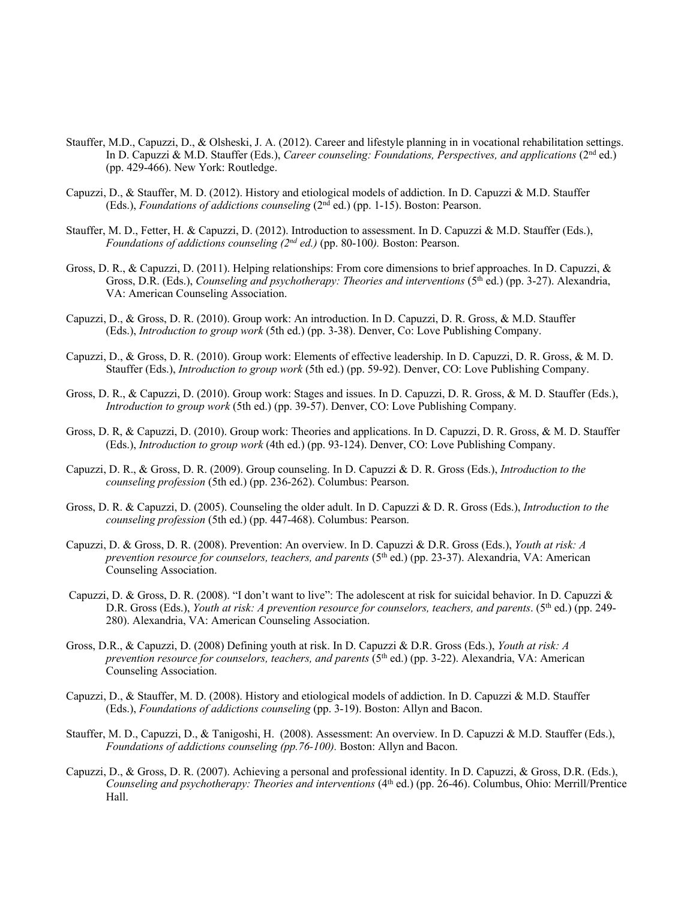- Stauffer, M.D., Capuzzi, D., & Olsheski, J. A. (2012). Career and lifestyle planning in in vocational rehabilitation settings. In D. Capuzzi & M.D. Stauffer (Eds.), *Career counseling: Foundations, Perspectives, and applications* (2<sup>nd</sup> ed.) (pp. 429-466). New York: Routledge.
- Capuzzi, D., & Stauffer, M. D. (2012). History and etiological models of addiction. In D. Capuzzi & M.D. Stauffer (Eds.), *Foundations of addictions counseling* (2nd ed.) (pp. 1-15). Boston: Pearson.
- Stauffer, M. D., Fetter, H. & Capuzzi, D. (2012). Introduction to assessment. In D. Capuzzi & M.D. Stauffer (Eds.), *Foundations of addictions counseling (2nd ed.)* (pp. 80-100*).* Boston: Pearson.
- Gross, D. R., & Capuzzi, D. (2011). Helping relationships: From core dimensions to brief approaches. In D. Capuzzi, & Gross, D.R. (Eds.), *Counseling and psychotherapy: Theories and interventions* (5<sup>th</sup> ed.) (pp. 3-27). Alexandria, VA: American Counseling Association.
- Capuzzi, D., & Gross, D. R. (2010). Group work: An introduction. In D. Capuzzi, D. R. Gross, & M.D. Stauffer (Eds.), *Introduction to group work* (5th ed.) (pp. 3-38). Denver, Co: Love Publishing Company.
- Capuzzi, D., & Gross, D. R. (2010). Group work: Elements of effective leadership. In D. Capuzzi, D. R. Gross, & M. D. Stauffer (Eds.), *Introduction to group work* (5th ed.) (pp. 59-92). Denver, CO: Love Publishing Company.
- Gross, D. R., & Capuzzi, D. (2010). Group work: Stages and issues. In D. Capuzzi, D. R. Gross, & M. D. Stauffer (Eds.), *Introduction to group work* (5th ed.) (pp. 39-57). Denver, CO: Love Publishing Company.
- Gross, D. R, & Capuzzi, D. (2010). Group work: Theories and applications. In D. Capuzzi, D. R. Gross, & M. D. Stauffer (Eds.), *Introduction to group work* (4th ed.) (pp. 93-124). Denver, CO: Love Publishing Company.
- Capuzzi, D. R., & Gross, D. R. (2009). Group counseling. In D. Capuzzi & D. R. Gross (Eds.), *Introduction to the counseling profession* (5th ed.) (pp. 236-262). Columbus: Pearson.
- Gross, D. R. & Capuzzi, D. (2005). Counseling the older adult. In D. Capuzzi & D. R. Gross (Eds.), *Introduction to the counseling profession* (5th ed.) (pp. 447-468). Columbus: Pearson.
- Capuzzi, D. & Gross, D. R. (2008). Prevention: An overview. In D. Capuzzi & D.R. Gross (Eds.), *Youth at risk: A prevention resource for counselors, teachers, and parents* (5<sup>th</sup> ed.) (pp. 23-37). Alexandria, VA: American Counseling Association.
- Capuzzi, D. & Gross, D. R. (2008). "I don't want to live": The adolescent at risk for suicidal behavior. In D. Capuzzi & D.R. Gross (Eds.), *Youth at risk: A prevention resource for counselors, teachers, and parents*. (5th ed.) (pp. 249- 280). Alexandria, VA: American Counseling Association.
- Gross, D.R., & Capuzzi, D. (2008) Defining youth at risk. In D. Capuzzi & D.R. Gross (Eds.), *Youth at risk: A prevention resource for counselors, teachers, and parents* (5<sup>th</sup> ed.) (pp. 3-22). Alexandria, VA: American Counseling Association.
- Capuzzi, D., & Stauffer, M. D. (2008). History and etiological models of addiction. In D. Capuzzi & M.D. Stauffer (Eds.), *Foundations of addictions counseling* (pp. 3-19). Boston: Allyn and Bacon.
- Stauffer, M. D., Capuzzi, D., & Tanigoshi, H. (2008). Assessment: An overview. In D. Capuzzi & M.D. Stauffer (Eds.), *Foundations of addictions counseling (pp.76-100).* Boston: Allyn and Bacon.
- Capuzzi, D., & Gross, D. R. (2007). Achieving a personal and professional identity. In D. Capuzzi, & Gross, D.R. (Eds.), *Counseling and psychotherapy: Theories and interventions* (4<sup>th</sup> ed.) (pp. 26-46). Columbus, Ohio: Merrill/Prentice Hall.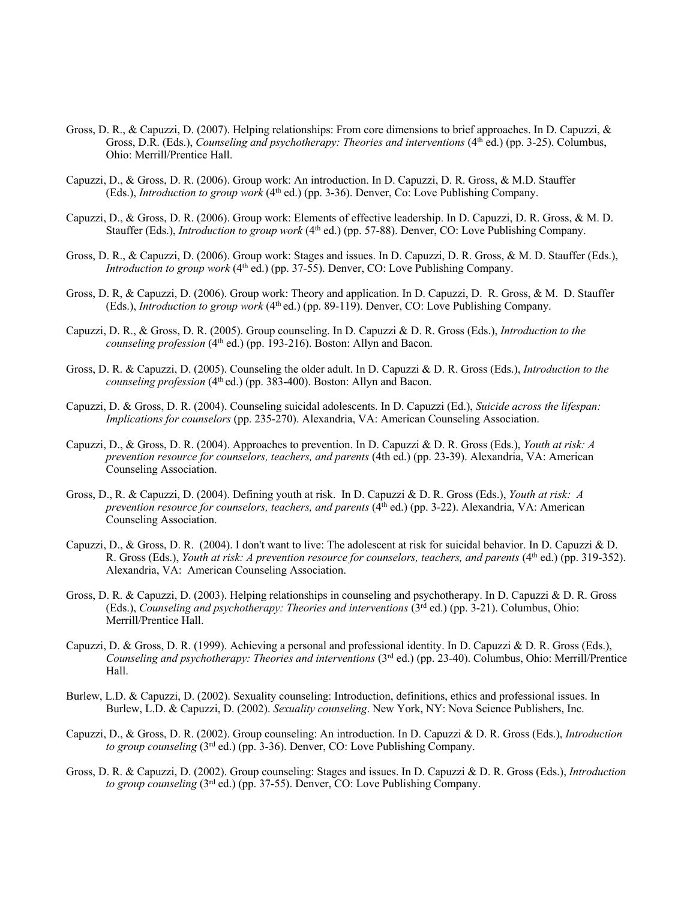- Gross, D. R., & Capuzzi, D. (2007). Helping relationships: From core dimensions to brief approaches. In D. Capuzzi, & Gross, D.R. (Eds.), *Counseling and psychotherapy: Theories and interventions* (4<sup>th</sup> ed.) (pp. 3-25). Columbus, Ohio: Merrill/Prentice Hall.
- Capuzzi, D., & Gross, D. R. (2006). Group work: An introduction. In D. Capuzzi, D. R. Gross, & M.D. Stauffer (Eds.), *Introduction to group work* (4th ed.) (pp. 3-36). Denver, Co: Love Publishing Company.
- Capuzzi, D., & Gross, D. R. (2006). Group work: Elements of effective leadership. In D. Capuzzi, D. R. Gross, & M. D. Stauffer (Eds.), *Introduction to group work* (4th ed.) (pp. 57-88). Denver, CO: Love Publishing Company.
- Gross, D. R., & Capuzzi, D. (2006). Group work: Stages and issues. In D. Capuzzi, D. R. Gross, & M. D. Stauffer (Eds.), *Introduction to group work* (4<sup>th</sup> ed.) (pp. 37-55). Denver, CO: Love Publishing Company.
- Gross, D. R, & Capuzzi, D. (2006). Group work: Theory and application. In D. Capuzzi, D. R. Gross, & M. D. Stauffer (Eds.), *Introduction to group work* (4th ed.) (pp. 89-119). Denver, CO: Love Publishing Company.
- Capuzzi, D. R., & Gross, D. R. (2005). Group counseling. In D. Capuzzi & D. R. Gross (Eds.), *Introduction to the counseling profession* (4th ed.) (pp. 193-216). Boston: Allyn and Bacon.
- Gross, D. R. & Capuzzi, D. (2005). Counseling the older adult. In D. Capuzzi & D. R. Gross (Eds.), *Introduction to the counseling profession* (4th ed.) (pp. 383-400). Boston: Allyn and Bacon.
- Capuzzi, D. & Gross, D. R. (2004). Counseling suicidal adolescents. In D. Capuzzi (Ed.), *Suicide across the lifespan: Implications for counselors* (pp. 235-270). Alexandria, VA: American Counseling Association.
- Capuzzi, D., & Gross, D. R. (2004). Approaches to prevention. In D. Capuzzi & D. R. Gross (Eds.), *Youth at risk: A prevention resource for counselors, teachers, and parents* (4th ed.) (pp. 23-39). Alexandria, VA: American Counseling Association.
- Gross, D., R. & Capuzzi, D. (2004). Defining youth at risk. In D. Capuzzi & D. R. Gross (Eds.), *Youth at risk: A prevention resource for counselors, teachers, and parents* (4<sup>th</sup> ed.) (pp. 3-22). Alexandria, VA: American Counseling Association.
- Capuzzi, D., & Gross, D. R. (2004). I don't want to live: The adolescent at risk for suicidal behavior. In D. Capuzzi & D. R. Gross (Eds.), *Youth at risk: A prevention resource for counselors, teachers, and parents* (4th ed.) (pp. 319-352). Alexandria, VA: American Counseling Association.
- Gross, D. R. & Capuzzi, D. (2003). Helping relationships in counseling and psychotherapy. In D. Capuzzi & D. R. Gross (Eds.), *Counseling and psychotherapy: Theories and interventions* (3rd ed.) (pp. 3-21). Columbus, Ohio: Merrill/Prentice Hall.
- Capuzzi, D. & Gross, D. R. (1999). Achieving a personal and professional identity. In D. Capuzzi & D. R. Gross (Eds.), *Counseling and psychotherapy: Theories and interventions* (3rd ed.) (pp. 23-40). Columbus, Ohio: Merrill/Prentice Hall.
- Burlew, L.D. & Capuzzi, D. (2002). Sexuality counseling: Introduction, definitions, ethics and professional issues. In Burlew, L.D. & Capuzzi, D. (2002). *Sexuality counseling*. New York, NY: Nova Science Publishers, Inc.
- Capuzzi, D., & Gross, D. R. (2002). Group counseling: An introduction. In D. Capuzzi & D. R. Gross (Eds.), *Introduction to group counseling* (3rd ed.) (pp. 3-36). Denver, CO: Love Publishing Company.
- Gross, D. R. & Capuzzi, D. (2002). Group counseling: Stages and issues. In D. Capuzzi & D. R. Gross (Eds.), *Introduction to group counseling* (3rd ed.) (pp. 37-55). Denver, CO: Love Publishing Company.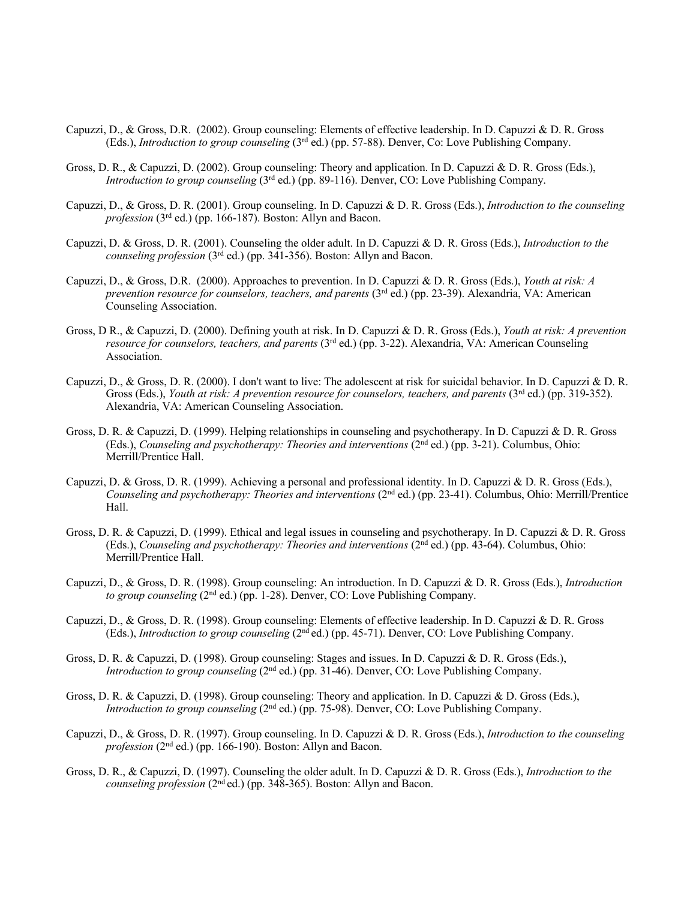- Capuzzi, D., & Gross, D.R. (2002). Group counseling: Elements of effective leadership. In D. Capuzzi & D. R. Gross (Eds.), *Introduction to group counseling* (3rd ed.) (pp. 57-88). Denver, Co: Love Publishing Company.
- Gross, D. R., & Capuzzi, D. (2002). Group counseling: Theory and application. In D. Capuzzi & D. R. Gross (Eds.), *Introduction to group counseling* (3rd ed.) (pp. 89-116). Denver, CO: Love Publishing Company.
- Capuzzi, D., & Gross, D. R. (2001). Group counseling. In D. Capuzzi & D. R. Gross (Eds.), *Introduction to the counseling profession* (3rd ed.) (pp. 166-187). Boston: Allyn and Bacon.
- Capuzzi, D. & Gross, D. R. (2001). Counseling the older adult. In D. Capuzzi & D. R. Gross (Eds.), *Introduction to the counseling profession* (3<sup>rd</sup> ed.) (pp. 341-356). Boston: Allyn and Bacon.
- Capuzzi, D., & Gross, D.R. (2000). Approaches to prevention. In D. Capuzzi & D. R. Gross (Eds.), *Youth at risk: A prevention resource for counselors, teachers, and parents* (3<sup>rd</sup> ed.) (pp. 23-39). Alexandria, VA: American Counseling Association.
- Gross, D R., & Capuzzi, D. (2000). Defining youth at risk. In D. Capuzzi & D. R. Gross (Eds.), *Youth at risk: A prevention resource for counselors, teachers, and parents* (3rd ed.) (pp. 3-22). Alexandria, VA: American Counseling Association.
- Capuzzi, D., & Gross, D. R. (2000). I don't want to live: The adolescent at risk for suicidal behavior. In D. Capuzzi & D. R. Gross (Eds.), *Youth at risk: A prevention resource for counselors, teachers, and parents* (3<sup>rd</sup> ed.) (pp. 319-352). Alexandria, VA: American Counseling Association.
- Gross, D. R. & Capuzzi, D. (1999). Helping relationships in counseling and psychotherapy. In D. Capuzzi & D. R. Gross (Eds.), *Counseling and psychotherapy: Theories and interventions* (2nd ed.) (pp. 3-21). Columbus, Ohio: Merrill/Prentice Hall.
- Capuzzi, D. & Gross, D. R. (1999). Achieving a personal and professional identity. In D. Capuzzi & D. R. Gross (Eds.), *Counseling and psychotherapy: Theories and interventions* (2<sup>nd</sup> ed.) (pp. 23-41). Columbus, Ohio: Merrill/Prentice Hall.
- Gross, D. R. & Capuzzi, D. (1999). Ethical and legal issues in counseling and psychotherapy. In D. Capuzzi & D. R. Gross (Eds.), *Counseling and psychotherapy: Theories and interventions* (2nd ed.) (pp. 43-64). Columbus, Ohio: Merrill/Prentice Hall.
- Capuzzi, D., & Gross, D. R. (1998). Group counseling: An introduction. In D. Capuzzi & D. R. Gross (Eds.), *Introduction to group counseling* (2<sup>nd</sup> ed.) (pp. 1-28). Denver, CO: Love Publishing Company.
- Capuzzi, D., & Gross, D. R. (1998). Group counseling: Elements of effective leadership. In D. Capuzzi & D. R. Gross (Eds.), *Introduction to group counseling* (2nd ed.) (pp. 45-71). Denver, CO: Love Publishing Company.
- Gross, D. R. & Capuzzi, D. (1998). Group counseling: Stages and issues. In D. Capuzzi & D. R. Gross (Eds.), *Introduction to group counseling* (2nd ed.) (pp. 31-46). Denver, CO: Love Publishing Company.
- Gross, D. R. & Capuzzi, D. (1998). Group counseling: Theory and application. In D. Capuzzi & D. Gross (Eds.), *Introduction to group counseling* ( $2<sup>nd</sup>$  ed.) (pp. 75-98). Denver, CO: Love Publishing Company.
- Capuzzi, D., & Gross, D. R. (1997). Group counseling. In D. Capuzzi & D. R. Gross (Eds.), *Introduction to the counseling profession* (2<sup>nd</sup> ed.) (pp. 166-190). Boston: Allyn and Bacon.
- Gross, D. R., & Capuzzi, D. (1997). Counseling the older adult. In D. Capuzzi & D. R. Gross (Eds.), *Introduction to the counseling profession* (2nd ed.) (pp. 348-365). Boston: Allyn and Bacon.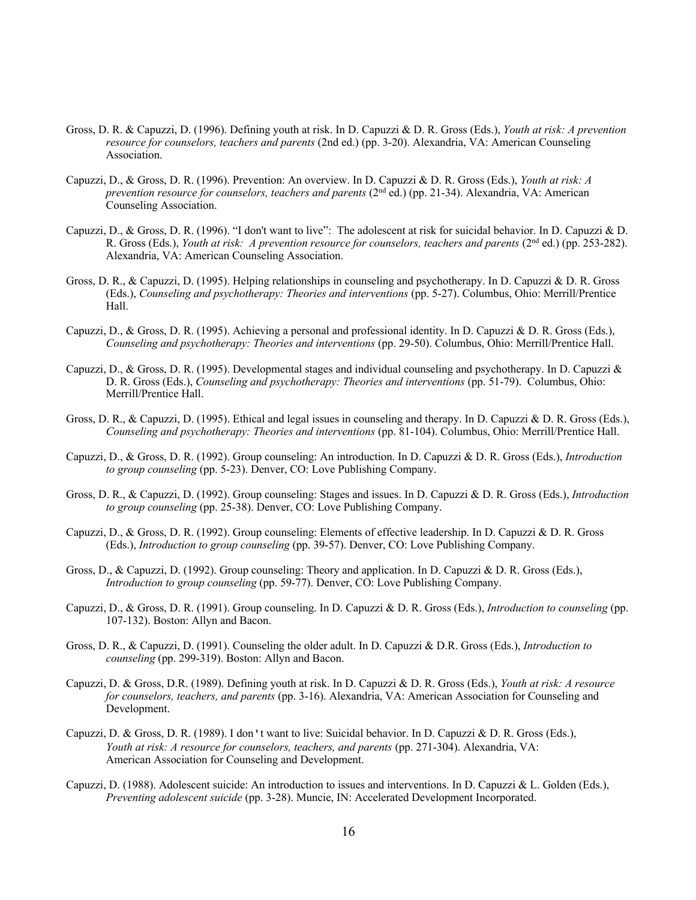- Gross, D. R. & Capuzzi, D. (1996). Defining youth at risk. In D. Capuzzi & D. R. Gross (Eds.), *Youth at risk: A prevention resource for counselors, teachers and parents* (2nd ed.) (pp. 3-20). Alexandria, VA: American Counseling Association.
- Capuzzi, D., & Gross, D. R. (1996). Prevention: An overview. In D. Capuzzi & D. R. Gross (Eds.), *Youth at risk: A prevention resource for counselors, teachers and parents* (2<sup>nd</sup> ed.) (pp. 21-34). Alexandria, VA: American Counseling Association.
- Capuzzi, D., & Gross, D. R. (1996). "I don't want to live": The adolescent at risk for suicidal behavior. In D. Capuzzi & D. R. Gross (Eds.), *Youth at risk: A prevention resource for counselors, teachers and parents* (2nd ed.) (pp. 253-282). Alexandria, VA: American Counseling Association.
- Gross, D. R., & Capuzzi, D. (1995). Helping relationships in counseling and psychotherapy. In D. Capuzzi & D. R. Gross (Eds.), *Counseling and psychotherapy: Theories and interventions* (pp. 5-27). Columbus, Ohio: Merrill/Prentice Hall.
- Capuzzi, D., & Gross, D. R. (1995). Achieving a personal and professional identity. In D. Capuzzi & D. R. Gross (Eds.), *Counseling and psychotherapy: Theories and interventions* (pp. 29-50). Columbus, Ohio: Merrill/Prentice Hall.
- Capuzzi, D., & Gross, D. R. (1995). Developmental stages and individual counseling and psychotherapy. In D. Capuzzi & D. R. Gross (Eds.), *Counseling and psychotherapy: Theories and interventions* (pp. 51-79). Columbus, Ohio: Merrill/Prentice Hall.
- Gross, D. R., & Capuzzi, D. (1995). Ethical and legal issues in counseling and therapy. In D. Capuzzi & D. R. Gross (Eds.), *Counseling and psychotherapy: Theories and interventions* (pp. 81-104). Columbus, Ohio: Merrill/Prentice Hall.
- Capuzzi, D., & Gross, D. R. (1992). Group counseling: An introduction. In D. Capuzzi & D. R. Gross (Eds.), *Introduction to group counseling* (pp. 5-23). Denver, CO: Love Publishing Company.
- Gross, D. R., & Capuzzi, D. (1992). Group counseling: Stages and issues. In D. Capuzzi & D. R. Gross (Eds.), *Introduction to group counseling* (pp. 25-38). Denver, CO: Love Publishing Company.
- Capuzzi, D., & Gross, D. R. (1992). Group counseling: Elements of effective leadership. In D. Capuzzi & D. R. Gross (Eds.), *Introduction to group counseling* (pp. 39-57). Denver, CO: Love Publishing Company.
- Gross, D., & Capuzzi, D. (1992). Group counseling: Theory and application. In D. Capuzzi & D. R. Gross (Eds.), *Introduction to group counseling* (pp. 59-77). Denver, CO: Love Publishing Company.
- Capuzzi, D., & Gross, D. R. (1991). Group counseling. In D. Capuzzi & D. R. Gross (Eds.), *Introduction to counseling* (pp. 107-132). Boston: Allyn and Bacon.
- Gross, D. R., & Capuzzi, D. (1991). Counseling the older adult. In D. Capuzzi & D.R. Gross (Eds.), *Introduction to counseling* (pp. 299-319). Boston: Allyn and Bacon.
- Capuzzi, D. & Gross, D.R. (1989). Defining youth at risk. In D. Capuzzi & D. R. Gross (Eds.), *Youth at risk: A resource for counselors, teachers, and parents* (pp. 3-16). Alexandria, VA: American Association for Counseling and Development.
- Capuzzi, D. & Gross, D. R. (1989). I don't want to live: Suicidal behavior. In D. Capuzzi & D. R. Gross (Eds.), *Youth at risk: A resource for counselors, teachers, and parents* (pp. 271-304). Alexandria, VA: American Association for Counseling and Development.
- Capuzzi, D. (1988). Adolescent suicide: An introduction to issues and interventions. In D. Capuzzi & L. Golden (Eds.), *Preventing adolescent suicide* (pp. 3-28). Muncie, IN: Accelerated Development Incorporated.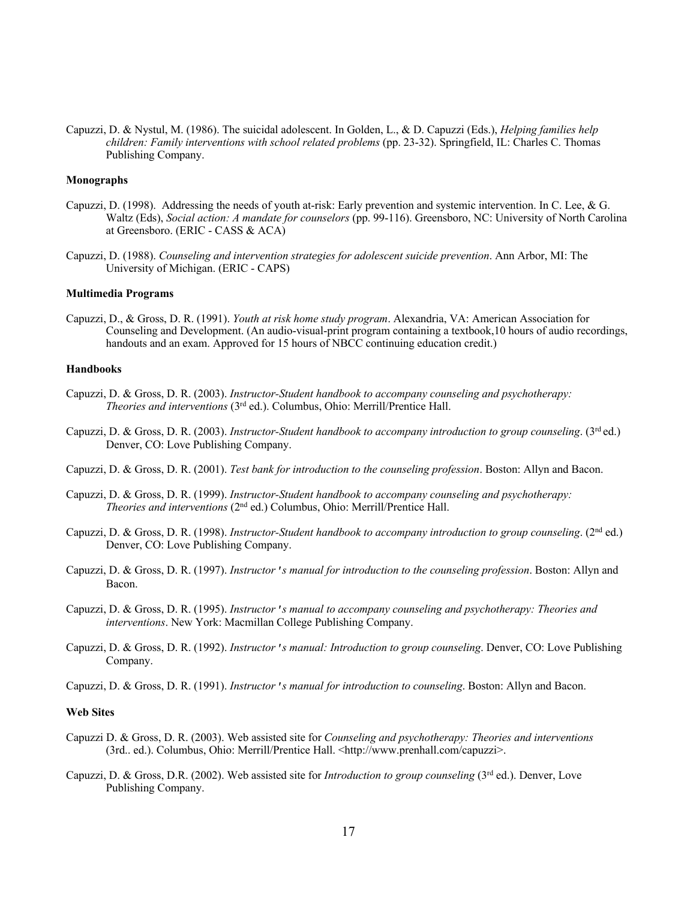Capuzzi, D. & Nystul, M. (1986). The suicidal adolescent. In Golden, L., & D. Capuzzi (Eds.), *Helping families help children: Family interventions with school related problems* (pp. 23-32). Springfield, IL: Charles C. Thomas Publishing Company.

## **Monographs**

- Capuzzi, D. (1998). Addressing the needs of youth at-risk: Early prevention and systemic intervention. In C. Lee, & G. Waltz (Eds), *Social action: A mandate for counselors* (pp. 99-116). Greensboro, NC: University of North Carolina at Greensboro. (ERIC - CASS & ACA)
- Capuzzi, D. (1988). *Counseling and intervention strategies for adolescent suicide prevention*. Ann Arbor, MI: The University of Michigan. (ERIC - CAPS)

#### **Multimedia Programs**

Capuzzi, D., & Gross, D. R. (1991). *Youth at risk home study program*. Alexandria, VA: American Association for Counseling and Development. (An audio-visual-print program containing a textbook,10 hours of audio recordings, handouts and an exam. Approved for 15 hours of NBCC continuing education credit.)

## **Handbooks**

- Capuzzi, D. & Gross, D. R. (2003). *Instructor-Student handbook to accompany counseling and psychotherapy: Theories and interventions* (3rd ed.). Columbus, Ohio: Merrill/Prentice Hall.
- Capuzzi, D. & Gross, D. R. (2003). *Instructor-Student handbook to accompany introduction to group counseling*. (3<sup>rd</sup> ed.) Denver, CO: Love Publishing Company.
- Capuzzi, D. & Gross, D. R. (2001). *Test bank for introduction to the counseling profession*. Boston: Allyn and Bacon.
- Capuzzi, D. & Gross, D. R. (1999). *Instructor-Student handbook to accompany counseling and psychotherapy: Theories and interventions* (2nd ed.) Columbus, Ohio: Merrill/Prentice Hall.
- Capuzzi, D. & Gross, D. R. (1998). *Instructor-Student handbook to accompany introduction to group counseling*. (2<sup>nd</sup> ed.) Denver, CO: Love Publishing Company.
- Capuzzi, D. & Gross, D. R. (1997). *Instructor's manual for introduction to the counseling profession*. Boston: Allyn and Bacon.
- Capuzzi, D. & Gross, D. R. (1995). *Instructor's manual to accompany counseling and psychotherapy: Theories and interventions*. New York: Macmillan College Publishing Company.
- Capuzzi, D. & Gross, D. R. (1992). *Instructor's manual: Introduction to group counseling*. Denver, CO: Love Publishing Company.
- Capuzzi, D. & Gross, D. R. (1991). *Instructor's manual for introduction to counseling*. Boston: Allyn and Bacon.

## **Web Sites**

- Capuzzi D. & Gross, D. R. (2003). Web assisted site for *Counseling and psychotherapy: Theories and interventions* (3rd.. ed.). Columbus, Ohio: Merrill/Prentice Hall. <http://www.prenhall.com/capuzzi>.
- Capuzzi, D. & Gross, D.R. (2002). Web assisted site for *Introduction to group counseling* (3rd ed.). Denver, Love Publishing Company.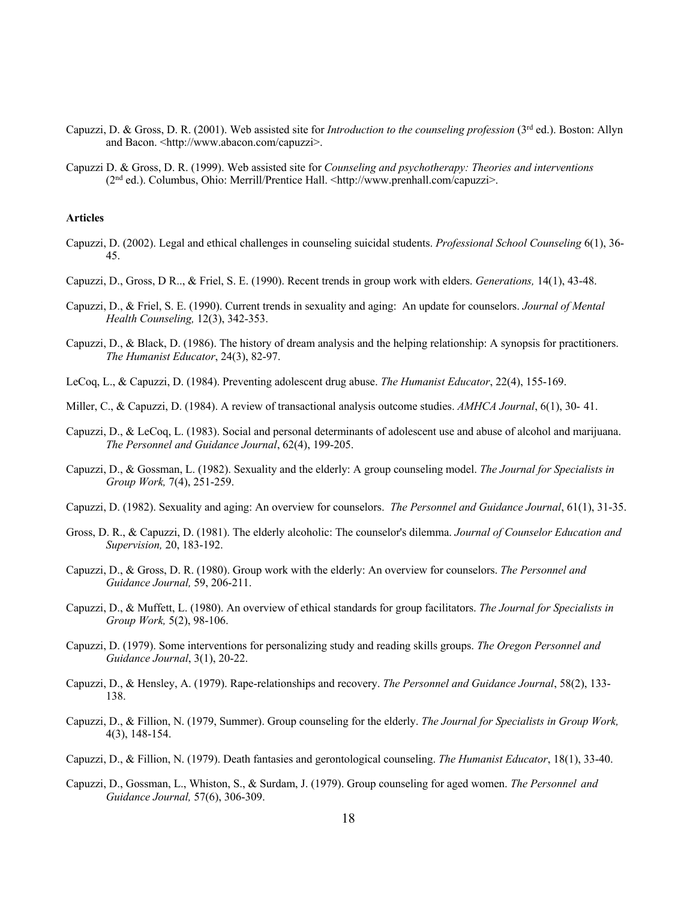- Capuzzi, D. & Gross, D. R. (2001). Web assisted site for *Introduction to the counseling profession* (3rd ed.). Boston: Allyn and Bacon. < http://www.abacon.com/capuzzi>.
- Capuzzi D. & Gross, D. R. (1999). Web assisted site for *Counseling and psychotherapy: Theories and interventions* (2nd ed.). Columbus, Ohio: Merrill/Prentice Hall. <http://www.prenhall.com/capuzzi>.

### **Articles**

- Capuzzi, D. (2002). Legal and ethical challenges in counseling suicidal students. *Professional School Counseling* 6(1), 36- 45.
- Capuzzi, D., Gross, D R.., & Friel, S. E. (1990). Recent trends in group work with elders. *Generations,* 14(1), 43-48.
- Capuzzi, D., & Friel, S. E. (1990). Current trends in sexuality and aging: An update for counselors. *Journal of Mental Health Counseling,* 12(3), 342-353.
- Capuzzi, D., & Black, D. (1986). The history of dream analysis and the helping relationship: A synopsis for practitioners. *The Humanist Educator*, 24(3), 82-97.
- LeCoq, L., & Capuzzi, D. (1984). Preventing adolescent drug abuse. *The Humanist Educator*, 22(4), 155-169.
- Miller, C., & Capuzzi, D. (1984). A review of transactional analysis outcome studies. *AMHCA Journal*, 6(1), 30- 41.
- Capuzzi, D., & LeCoq, L. (1983). Social and personal determinants of adolescent use and abuse of alcohol and marijuana. *The Personnel and Guidance Journal*, 62(4), 199-205.
- Capuzzi, D., & Gossman, L. (1982). Sexuality and the elderly: A group counseling model. *The Journal for Specialists in Group Work,* 7(4), 251-259.
- Capuzzi, D. (1982). Sexuality and aging: An overview for counselors. *The Personnel and Guidance Journal*, 61(1), 31-35.
- Gross, D. R., & Capuzzi, D. (1981). The elderly alcoholic: The counselor's dilemma. *Journal of Counselor Education and Supervision,* 20, 183-192.
- Capuzzi, D., & Gross, D. R. (1980). Group work with the elderly: An overview for counselors. *The Personnel and Guidance Journal,* 59, 206-211.
- Capuzzi, D., & Muffett, L. (1980). An overview of ethical standards for group facilitators. *The Journal for Specialists in Group Work,* 5(2), 98-106.
- Capuzzi, D. (1979). Some interventions for personalizing study and reading skills groups. *The Oregon Personnel and Guidance Journal*, 3(1), 20-22.
- Capuzzi, D., & Hensley, A. (1979). Rape-relationships and recovery. *The Personnel and Guidance Journal*, 58(2), 133- 138.
- Capuzzi, D., & Fillion, N. (1979, Summer). Group counseling for the elderly. *The Journal for Specialists in Group Work,* 4(3), 148-154.
- Capuzzi, D., & Fillion, N. (1979). Death fantasies and gerontological counseling. *The Humanist Educator*, 18(1), 33-40.
- Capuzzi, D., Gossman, L., Whiston, S., & Surdam, J. (1979). Group counseling for aged women. *The Personnel and Guidance Journal,* 57(6), 306-309.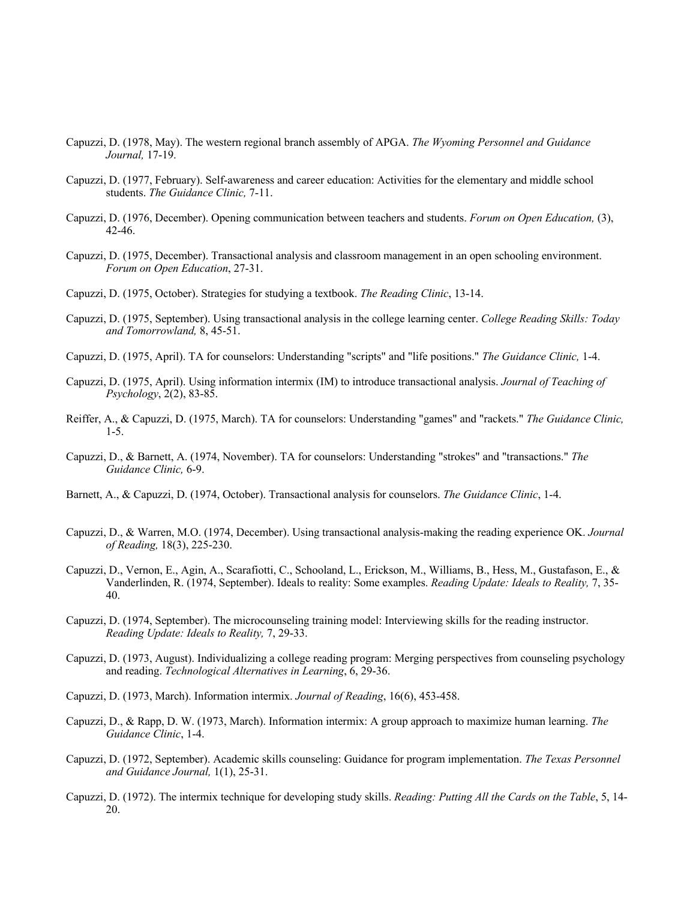- Capuzzi, D. (1978, May). The western regional branch assembly of APGA. *The Wyoming Personnel and Guidance Journal,* 17-19.
- Capuzzi, D. (1977, February). Self-awareness and career education: Activities for the elementary and middle school students. *The Guidance Clinic,* 7-11.
- Capuzzi, D. (1976, December). Opening communication between teachers and students. *Forum on Open Education,* (3), 42-46.
- Capuzzi, D. (1975, December). Transactional analysis and classroom management in an open schooling environment. *Forum on Open Education*, 27-31.
- Capuzzi, D. (1975, October). Strategies for studying a textbook. *The Reading Clinic*, 13-14.
- Capuzzi, D. (1975, September). Using transactional analysis in the college learning center. *College Reading Skills: Today and Tomorrowland,* 8, 45-51.
- Capuzzi, D. (1975, April). TA for counselors: Understanding "scripts" and "life positions." *The Guidance Clinic,* 1-4.
- Capuzzi, D. (1975, April). Using information intermix (IM) to introduce transactional analysis. *Journal of Teaching of Psychology*, 2(2), 83-85.
- Reiffer, A., & Capuzzi, D. (1975, March). TA for counselors: Understanding "games" and "rackets." *The Guidance Clinic,* 1-5.
- Capuzzi, D., & Barnett, A. (1974, November). TA for counselors: Understanding "strokes" and "transactions." *The Guidance Clinic,* 6-9.
- Barnett, A., & Capuzzi, D. (1974, October). Transactional analysis for counselors. *The Guidance Clinic*, 1-4.
- Capuzzi, D., & Warren, M.O. (1974, December). Using transactional analysis-making the reading experience OK. *Journal of Reading,* 18(3), 225-230.
- Capuzzi, D., Vernon, E., Agin, A., Scarafiotti, C., Schooland, L., Erickson, M., Williams, B., Hess, M., Gustafason, E., & Vanderlinden, R. (1974, September). Ideals to reality: Some examples. *Reading Update: Ideals to Reality,* 7, 35- 40.
- Capuzzi, D. (1974, September). The microcounseling training model: Interviewing skills for the reading instructor. *Reading Update: Ideals to Reality,* 7, 29-33.
- Capuzzi, D. (1973, August). Individualizing a college reading program: Merging perspectives from counseling psychology and reading. *Technological Alternatives in Learning*, 6, 29-36.
- Capuzzi, D. (1973, March). Information intermix. *Journal of Reading*, 16(6), 453-458.
- Capuzzi, D., & Rapp, D. W. (1973, March). Information intermix: A group approach to maximize human learning. *The Guidance Clinic*, 1-4.
- Capuzzi, D. (1972, September). Academic skills counseling: Guidance for program implementation. *The Texas Personnel and Guidance Journal,* 1(1), 25-31.
- Capuzzi, D. (1972). The intermix technique for developing study skills. *Reading: Putting All the Cards on the Table*, 5, 14- 20.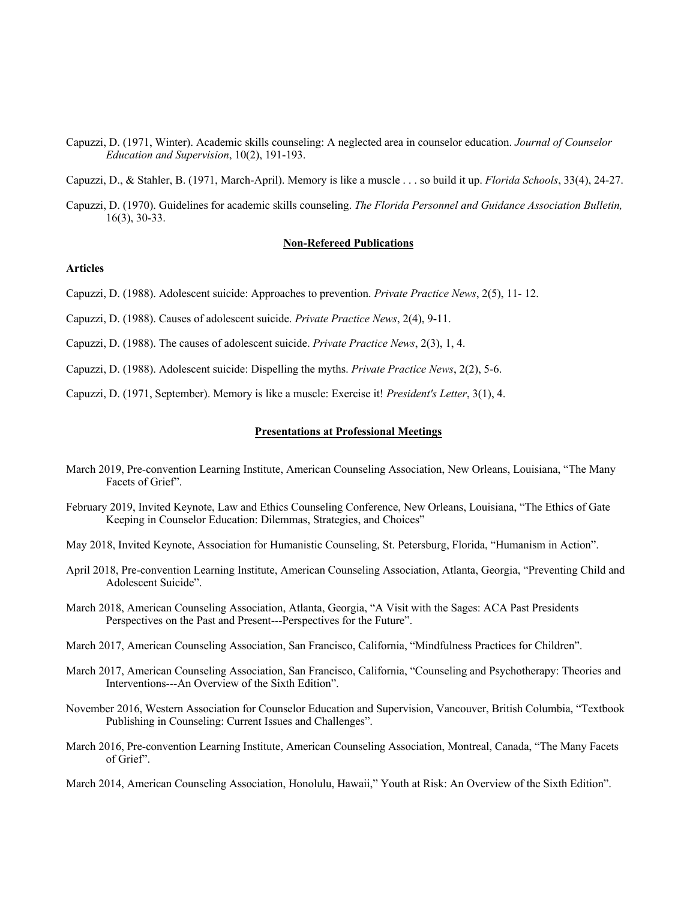Capuzzi, D. (1971, Winter). Academic skills counseling: A neglected area in counselor education. *Journal of Counselor Education and Supervision*, 10(2), 191-193.

Capuzzi, D., & Stahler, B. (1971, March-April). Memory is like a muscle . . . so build it up. *Florida Schools*, 33(4), 24-27.

Capuzzi, D. (1970). Guidelines for academic skills counseling. *The Florida Personnel and Guidance Association Bulletin,*  16(3), 30-33.

### **Non-Refereed Publications**

# **Articles**

- Capuzzi, D. (1988). Adolescent suicide: Approaches to prevention. *Private Practice News*, 2(5), 11- 12.
- Capuzzi, D. (1988). Causes of adolescent suicide. *Private Practice News*, 2(4), 9-11.
- Capuzzi, D. (1988). The causes of adolescent suicide. *Private Practice News*, 2(3), 1, 4.
- Capuzzi, D. (1988). Adolescent suicide: Dispelling the myths. *Private Practice News*, 2(2), 5-6.
- Capuzzi, D. (1971, September). Memory is like a muscle: Exercise it! *President's Letter*, 3(1), 4.

### **Presentations at Professional Meetings**

- March 2019, Pre-convention Learning Institute, American Counseling Association, New Orleans, Louisiana, "The Many Facets of Grief".
- February 2019, Invited Keynote, Law and Ethics Counseling Conference, New Orleans, Louisiana, "The Ethics of Gate Keeping in Counselor Education: Dilemmas, Strategies, and Choices"
- May 2018, Invited Keynote, Association for Humanistic Counseling, St. Petersburg, Florida, "Humanism in Action".
- April 2018, Pre-convention Learning Institute, American Counseling Association, Atlanta, Georgia, "Preventing Child and Adolescent Suicide".
- March 2018, American Counseling Association, Atlanta, Georgia, "A Visit with the Sages: ACA Past Presidents Perspectives on the Past and Present---Perspectives for the Future".
- March 2017, American Counseling Association, San Francisco, California, "Mindfulness Practices for Children".
- March 2017, American Counseling Association, San Francisco, California, "Counseling and Psychotherapy: Theories and Interventions---An Overview of the Sixth Edition".
- November 2016, Western Association for Counselor Education and Supervision, Vancouver, British Columbia, "Textbook Publishing in Counseling: Current Issues and Challenges".
- March 2016, Pre-convention Learning Institute, American Counseling Association, Montreal, Canada, "The Many Facets of Grief".
- March 2014, American Counseling Association, Honolulu, Hawaii," Youth at Risk: An Overview of the Sixth Edition".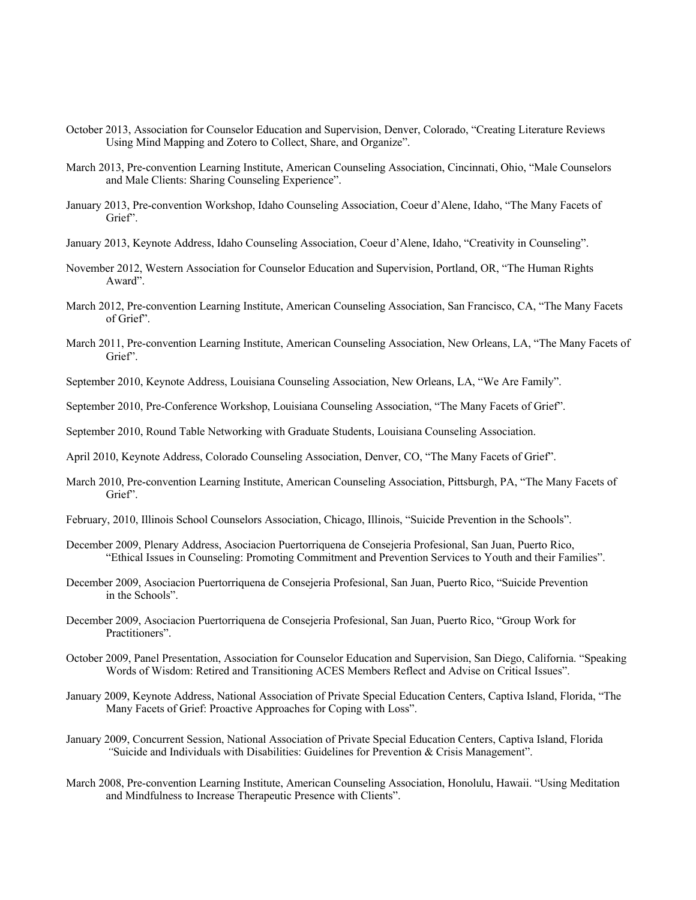- October 2013, Association for Counselor Education and Supervision, Denver, Colorado, "Creating Literature Reviews Using Mind Mapping and Zotero to Collect, Share, and Organize".
- March 2013, Pre-convention Learning Institute, American Counseling Association, Cincinnati, Ohio, "Male Counselors and Male Clients: Sharing Counseling Experience".
- January 2013, Pre-convention Workshop, Idaho Counseling Association, Coeur d'Alene, Idaho, "The Many Facets of Grief".
- January 2013, Keynote Address, Idaho Counseling Association, Coeur d'Alene, Idaho, "Creativity in Counseling".
- November 2012, Western Association for Counselor Education and Supervision, Portland, OR, "The Human Rights Award".
- March 2012, Pre-convention Learning Institute, American Counseling Association, San Francisco, CA, "The Many Facets of Grief".
- March 2011, Pre-convention Learning Institute, American Counseling Association, New Orleans, LA, "The Many Facets of Grief".
- September 2010, Keynote Address, Louisiana Counseling Association, New Orleans, LA, "We Are Family".
- September 2010, Pre-Conference Workshop, Louisiana Counseling Association, "The Many Facets of Grief".

September 2010, Round Table Networking with Graduate Students, Louisiana Counseling Association.

April 2010, Keynote Address, Colorado Counseling Association, Denver, CO, "The Many Facets of Grief".

- March 2010, Pre-convention Learning Institute, American Counseling Association, Pittsburgh, PA, "The Many Facets of Grief".
- February, 2010, Illinois School Counselors Association, Chicago, Illinois, "Suicide Prevention in the Schools".
- December 2009, Plenary Address, Asociacion Puertorriquena de Consejeria Profesional, San Juan, Puerto Rico, "Ethical Issues in Counseling: Promoting Commitment and Prevention Services to Youth and their Families".
- December 2009, Asociacion Puertorriquena de Consejeria Profesional, San Juan, Puerto Rico, "Suicide Prevention in the Schools".
- December 2009, Asociacion Puertorriquena de Consejeria Profesional, San Juan, Puerto Rico, "Group Work for Practitioners".
- October 2009, Panel Presentation, Association for Counselor Education and Supervision, San Diego, California. "Speaking Words of Wisdom: Retired and Transitioning ACES Members Reflect and Advise on Critical Issues".
- January 2009, Keynote Address, National Association of Private Special Education Centers, Captiva Island, Florida, "The Many Facets of Grief: Proactive Approaches for Coping with Loss".
- January 2009, Concurrent Session, National Association of Private Special Education Centers, Captiva Island, Florida *"*Suicide and Individuals with Disabilities: Guidelines for Prevention & Crisis Management".
- March 2008, Pre-convention Learning Institute, American Counseling Association, Honolulu, Hawaii. "Using Meditation and Mindfulness to Increase Therapeutic Presence with Clients".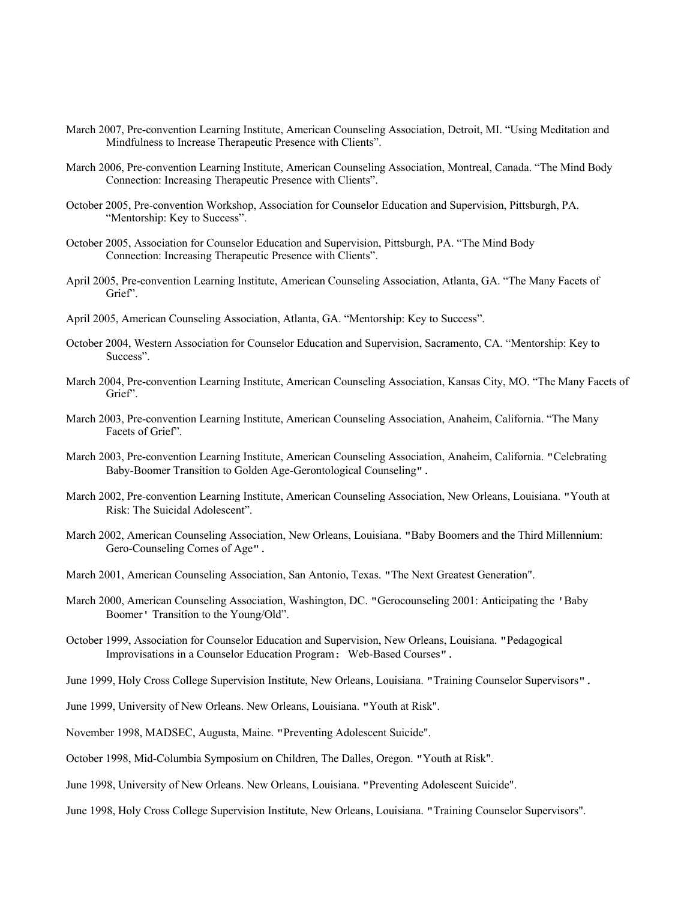- March 2007, Pre-convention Learning Institute, American Counseling Association, Detroit, MI. "Using Meditation and Mindfulness to Increase Therapeutic Presence with Clients".
- March 2006, Pre-convention Learning Institute, American Counseling Association, Montreal, Canada. "The Mind Body Connection: Increasing Therapeutic Presence with Clients".
- October 2005, Pre-convention Workshop, Association for Counselor Education and Supervision, Pittsburgh, PA. "Mentorship: Key to Success".
- October 2005, Association for Counselor Education and Supervision, Pittsburgh, PA. "The Mind Body Connection: Increasing Therapeutic Presence with Clients".
- April 2005, Pre-convention Learning Institute, American Counseling Association, Atlanta, GA. "The Many Facets of Grief".
- April 2005, American Counseling Association, Atlanta, GA. "Mentorship: Key to Success".
- October 2004, Western Association for Counselor Education and Supervision, Sacramento, CA. "Mentorship: Key to Success".
- March 2004, Pre-convention Learning Institute, American Counseling Association, Kansas City, MO. "The Many Facets of Grief".
- March 2003, Pre-convention Learning Institute, American Counseling Association, Anaheim, California. "The Many Facets of Grief".
- March 2003, Pre-convention Learning Institute, American Counseling Association, Anaheim, California. "Celebrating Baby-Boomer Transition to Golden Age-Gerontological Counseling".
- March 2002, Pre-convention Learning Institute, American Counseling Association, New Orleans, Louisiana. "Youth at Risk: The Suicidal Adolescent".
- March 2002, American Counseling Association, New Orleans, Louisiana. "Baby Boomers and the Third Millennium: Gero-Counseling Comes of Age".
- March 2001, American Counseling Association, San Antonio, Texas. "The Next Greatest Generation".
- March 2000, American Counseling Association, Washington, DC. "Gerocounseling 2001: Anticipating the 'Baby Boomer' Transition to the Young/Old".
- October 1999, Association for Counselor Education and Supervision, New Orleans, Louisiana. "Pedagogical Improvisations in a Counselor Education Program: Web-Based Courses".
- June 1999, Holy Cross College Supervision Institute, New Orleans, Louisiana. "Training Counselor Supervisors".
- June 1999, University of New Orleans. New Orleans, Louisiana. "Youth at Risk".
- November 1998, MADSEC, Augusta, Maine. "Preventing Adolescent Suicide".
- October 1998, Mid-Columbia Symposium on Children, The Dalles, Oregon. "Youth at Risk".
- June 1998, University of New Orleans. New Orleans, Louisiana. "Preventing Adolescent Suicide".
- June 1998, Holy Cross College Supervision Institute, New Orleans, Louisiana. "Training Counselor Supervisors".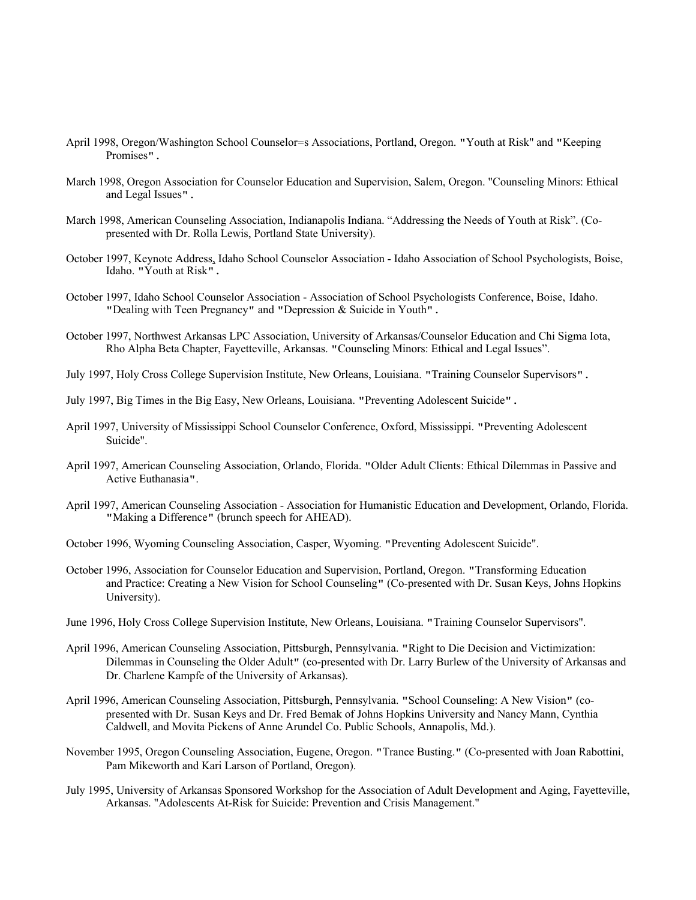- April 1998, Oregon/Washington School Counselor=s Associations, Portland, Oregon. "Youth at Risk" and "Keeping Promises".
- March 1998, Oregon Association for Counselor Education and Supervision, Salem, Oregon. "Counseling Minors: Ethical and Legal Issues".
- March 1998, American Counseling Association, Indianapolis Indiana. "Addressing the Needs of Youth at Risk". (Copresented with Dr. Rolla Lewis, Portland State University).
- October 1997, Keynote Address, Idaho School Counselor Association Idaho Association of School Psychologists, Boise, Idaho. "Youth at Risk".
- October 1997, Idaho School Counselor Association Association of School Psychologists Conference, Boise, Idaho. "Dealing with Teen Pregnancy" and "Depression & Suicide in Youth".
- October 1997, Northwest Arkansas LPC Association, University of Arkansas/Counselor Education and Chi Sigma Iota, Rho Alpha Beta Chapter, Fayetteville, Arkansas. "Counseling Minors: Ethical and Legal Issues".
- July 1997, Holy Cross College Supervision Institute, New Orleans, Louisiana. "Training Counselor Supervisors".
- July 1997, Big Times in the Big Easy, New Orleans, Louisiana. "Preventing Adolescent Suicide".
- April 1997, University of Mississippi School Counselor Conference, Oxford, Mississippi. "Preventing Adolescent Suicide".
- April 1997, American Counseling Association, Orlando, Florida. "Older Adult Clients: Ethical Dilemmas in Passive and Active Euthanasia".
- April 1997, American Counseling Association Association for Humanistic Education and Development, Orlando, Florida. "Making a Difference" (brunch speech for AHEAD).
- October 1996, Wyoming Counseling Association, Casper, Wyoming. "Preventing Adolescent Suicide".
- October 1996, Association for Counselor Education and Supervision, Portland, Oregon. "Transforming Education and Practice: Creating a New Vision for School Counseling" (Co-presented with Dr. Susan Keys, Johns Hopkins University).
- June 1996, Holy Cross College Supervision Institute, New Orleans, Louisiana. "Training Counselor Supervisors".
- April 1996, American Counseling Association, Pittsburgh, Pennsylvania. "Right to Die Decision and Victimization: Dilemmas in Counseling the Older Adult" (co-presented with Dr. Larry Burlew of the University of Arkansas and Dr. Charlene Kampfe of the University of Arkansas).
- April 1996, American Counseling Association, Pittsburgh, Pennsylvania. "School Counseling: A New Vision" (copresented with Dr. Susan Keys and Dr. Fred Bemak of Johns Hopkins University and Nancy Mann, Cynthia Caldwell, and Movita Pickens of Anne Arundel Co. Public Schools, Annapolis, Md.).
- November 1995, Oregon Counseling Association, Eugene, Oregon. "Trance Busting." (Co-presented with Joan Rabottini, Pam Mikeworth and Kari Larson of Portland, Oregon).
- July 1995, University of Arkansas Sponsored Workshop for the Association of Adult Development and Aging, Fayetteville, Arkansas. "Adolescents At-Risk for Suicide: Prevention and Crisis Management."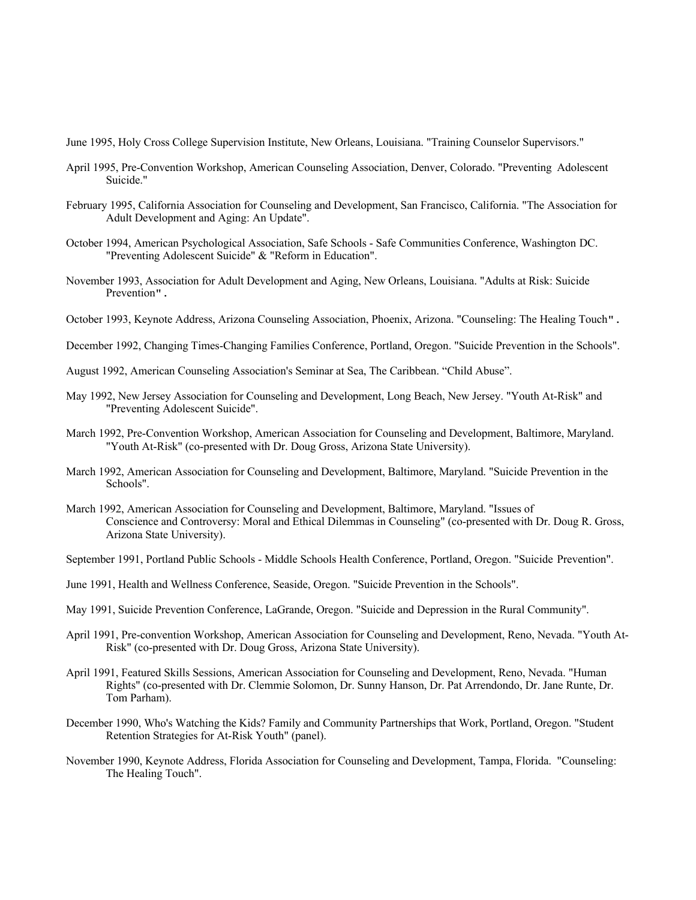June 1995, Holy Cross College Supervision Institute, New Orleans, Louisiana. "Training Counselor Supervisors."

- April 1995, Pre-Convention Workshop, American Counseling Association, Denver, Colorado. "Preventing Adolescent Suicide."
- February 1995, California Association for Counseling and Development, San Francisco, California. "The Association for Adult Development and Aging: An Update".
- October 1994, American Psychological Association, Safe Schools Safe Communities Conference, Washington DC. "Preventing Adolescent Suicide" & "Reform in Education".
- November 1993, Association for Adult Development and Aging, New Orleans, Louisiana. "Adults at Risk: Suicide Prevention".
- October 1993, Keynote Address, Arizona Counseling Association, Phoenix, Arizona. "Counseling: The Healing Touch".
- December 1992, Changing Times-Changing Families Conference, Portland, Oregon. "Suicide Prevention in the Schools".
- August 1992, American Counseling Association's Seminar at Sea, The Caribbean. "Child Abuse".
- May 1992, New Jersey Association for Counseling and Development, Long Beach, New Jersey. "Youth At-Risk" and "Preventing Adolescent Suicide".
- March 1992, Pre-Convention Workshop, American Association for Counseling and Development, Baltimore, Maryland. "Youth At-Risk" (co-presented with Dr. Doug Gross, Arizona State University).
- March 1992, American Association for Counseling and Development, Baltimore, Maryland. "Suicide Prevention in the Schools".
- March 1992, American Association for Counseling and Development, Baltimore, Maryland. "Issues of Conscience and Controversy: Moral and Ethical Dilemmas in Counseling" (co-presented with Dr. Doug R. Gross, Arizona State University).
- September 1991, Portland Public Schools Middle Schools Health Conference, Portland, Oregon. "Suicide Prevention".
- June 1991, Health and Wellness Conference, Seaside, Oregon. "Suicide Prevention in the Schools".
- May 1991, Suicide Prevention Conference, LaGrande, Oregon. "Suicide and Depression in the Rural Community".
- April 1991, Pre-convention Workshop, American Association for Counseling and Development, Reno, Nevada. "Youth At-Risk" (co-presented with Dr. Doug Gross, Arizona State University).
- April 1991, Featured Skills Sessions, American Association for Counseling and Development, Reno, Nevada. "Human Rights" (co-presented with Dr. Clemmie Solomon, Dr. Sunny Hanson, Dr. Pat Arrendondo, Dr. Jane Runte, Dr. Tom Parham).
- December 1990, Who's Watching the Kids? Family and Community Partnerships that Work, Portland, Oregon. "Student Retention Strategies for At-Risk Youth" (panel).
- November 1990, Keynote Address, Florida Association for Counseling and Development, Tampa, Florida. "Counseling: The Healing Touch".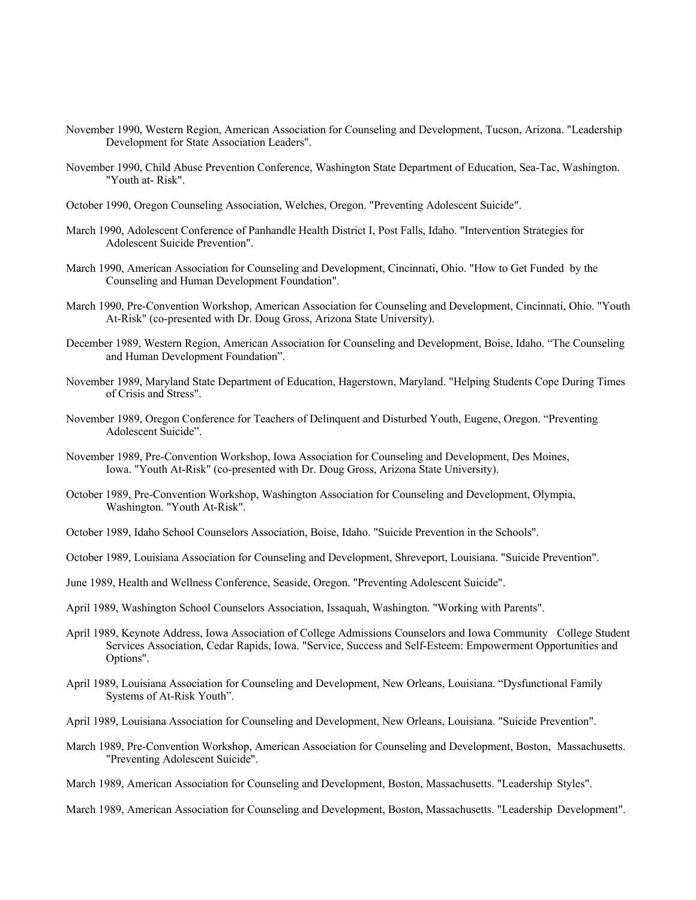- November 1990, Western Region, American Association for Counseling and Development, Tucson, Arizona. "Leadership Development for State Association Leaders".
- November 1990, Child Abuse Prevention Conference, Washington State Department of Education, Sea-Tac, Washington. "Youth at- Risk".
- October 1990, Oregon Counseling Association, Welches, Oregon. "Preventing Adolescent Suicide".
- March 1990, Adolescent Conference of Panhandle Health District I, Post Falls, Idaho. "Intervention Strategies for Adolescent Suicide Prevention".
- March 1990, American Association for Counseling and Development, Cincinnati, Ohio. "How to Get Funded by the Counseling and Human Development Foundation".
- March 1990, Pre-Convention Workshop, American Association for Counseling and Development, Cincinnati, Ohio. "Youth At-Risk" (co-presented with Dr. Doug Gross, Arizona State University).
- December 1989, Western Region, American Association for Counseling and Development, Boise, Idaho. "The Counseling and Human Development Foundation".
- November 1989, Maryland State Department of Education, Hagerstown, Maryland. "Helping Students Cope During Times of Crisis and Stress".
- November 1989, Oregon Conference for Teachers of Delinquent and Disturbed Youth, Eugene, Oregon. "Preventing Adolescent Suicide".
- November 1989, Pre-Convention Workshop, Iowa Association for Counseling and Development, Des Moines, Iowa. "Youth At-Risk" (co-presented with Dr. Doug Gross, Arizona State University).
- October 1989, Pre-Convention Workshop, Washington Association for Counseling and Development, Olympia, Washington. "Youth At-Risk".
- October 1989, Idaho School Counselors Association, Boise, Idaho. "Suicide Prevention in the Schools".
- October 1989, Louisiana Association for Counseling and Development, Shreveport, Louisiana. "Suicide Prevention".
- June 1989, Health and Wellness Conference, Seaside, Oregon. "Preventing Adolescent Suicide".
- April 1989, Washington School Counselors Association, Issaquah, Washington. "Working with Parents".
- April 1989, Keynote Address, Iowa Association of College Admissions Counselors and Iowa Community College Student Services Association, Cedar Rapids, Iowa. "Service, Success and Self-Esteem: Empowerment Opportunities and Options".
- April 1989, Louisiana Association for Counseling and Development, New Orleans, Louisiana. "Dysfunctional Family Systems of At-Risk Youth".
- April 1989, Louisiana Association for Counseling and Development, New Orleans, Louisiana. "Suicide Prevention".
- March 1989, Pre-Convention Workshop, American Association for Counseling and Development, Boston, Massachusetts. "Preventing Adolescent Suicide".
- March 1989, American Association for Counseling and Development, Boston, Massachusetts. "Leadership Styles".
- March 1989, American Association for Counseling and Development, Boston, Massachusetts. "Leadership Development".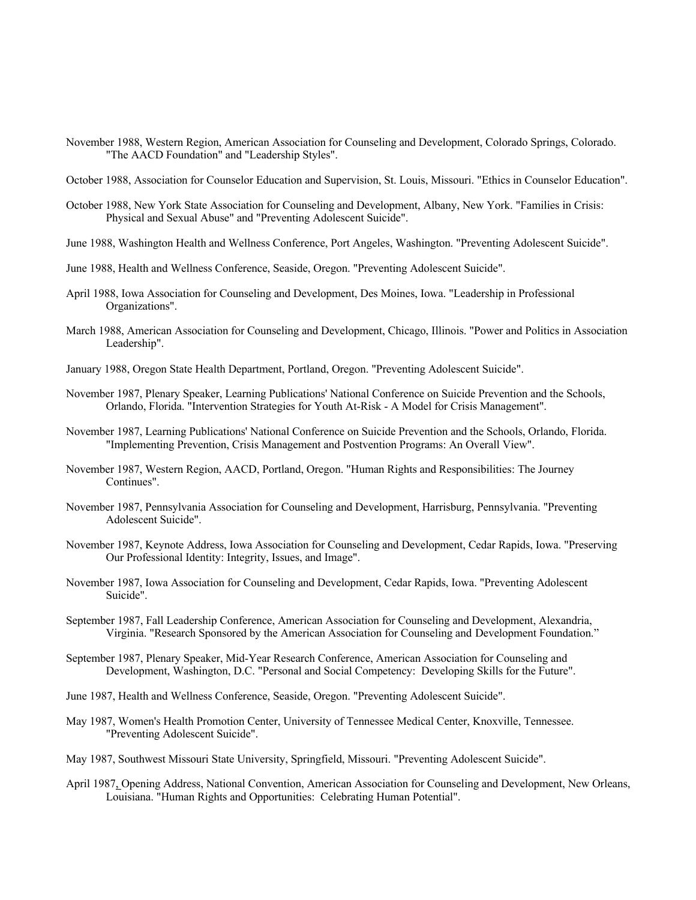- November 1988, Western Region, American Association for Counseling and Development, Colorado Springs, Colorado. "The AACD Foundation" and "Leadership Styles".
- October 1988, Association for Counselor Education and Supervision, St. Louis, Missouri. "Ethics in Counselor Education".
- October 1988, New York State Association for Counseling and Development, Albany, New York. "Families in Crisis: Physical and Sexual Abuse" and "Preventing Adolescent Suicide".
- June 1988, Washington Health and Wellness Conference, Port Angeles, Washington. "Preventing Adolescent Suicide".
- June 1988, Health and Wellness Conference, Seaside, Oregon. "Preventing Adolescent Suicide".
- April 1988, Iowa Association for Counseling and Development, Des Moines, Iowa. "Leadership in Professional Organizations".
- March 1988, American Association for Counseling and Development, Chicago, Illinois. "Power and Politics in Association Leadership".
- January 1988, Oregon State Health Department, Portland, Oregon. "Preventing Adolescent Suicide".
- November 1987, Plenary Speaker, Learning Publications' National Conference on Suicide Prevention and the Schools, Orlando, Florida. "Intervention Strategies for Youth At-Risk - A Model for Crisis Management".
- November 1987, Learning Publications' National Conference on Suicide Prevention and the Schools, Orlando, Florida. "Implementing Prevention, Crisis Management and Postvention Programs: An Overall View".
- November 1987, Western Region, AACD, Portland, Oregon. "Human Rights and Responsibilities: The Journey Continues".
- November 1987, Pennsylvania Association for Counseling and Development, Harrisburg, Pennsylvania. "Preventing Adolescent Suicide".
- November 1987, Keynote Address, Iowa Association for Counseling and Development, Cedar Rapids, Iowa. "Preserving Our Professional Identity: Integrity, Issues, and Image".
- November 1987, Iowa Association for Counseling and Development, Cedar Rapids, Iowa. "Preventing Adolescent Suicide".
- September 1987, Fall Leadership Conference, American Association for Counseling and Development, Alexandria, Virginia. "Research Sponsored by the American Association for Counseling and Development Foundation."
- September 1987, Plenary Speaker, Mid-Year Research Conference, American Association for Counseling and Development, Washington, D.C. "Personal and Social Competency: Developing Skills for the Future".
- June 1987, Health and Wellness Conference, Seaside, Oregon. "Preventing Adolescent Suicide".
- May 1987, Women's Health Promotion Center, University of Tennessee Medical Center, Knoxville, Tennessee. "Preventing Adolescent Suicide".
- May 1987, Southwest Missouri State University, Springfield, Missouri. "Preventing Adolescent Suicide".
- April 1987, Opening Address, National Convention, American Association for Counseling and Development, New Orleans, Louisiana. "Human Rights and Opportunities: Celebrating Human Potential".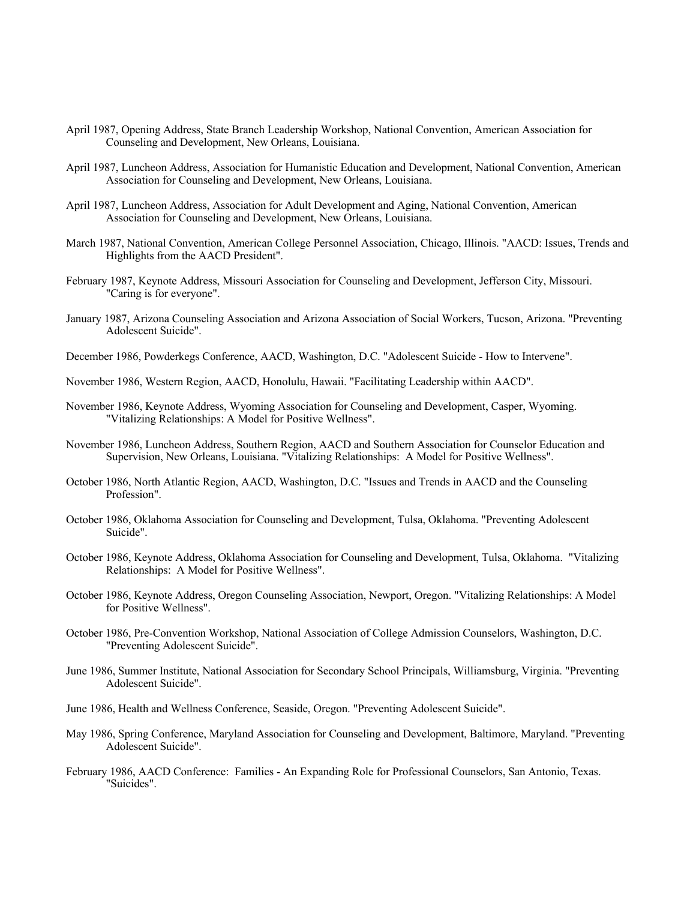- April 1987, Opening Address, State Branch Leadership Workshop, National Convention, American Association for Counseling and Development, New Orleans, Louisiana.
- April 1987, Luncheon Address, Association for Humanistic Education and Development, National Convention, American Association for Counseling and Development, New Orleans, Louisiana.
- April 1987, Luncheon Address, Association for Adult Development and Aging, National Convention, American Association for Counseling and Development, New Orleans, Louisiana.
- March 1987, National Convention, American College Personnel Association, Chicago, Illinois. "AACD: Issues, Trends and Highlights from the AACD President".
- February 1987, Keynote Address, Missouri Association for Counseling and Development, Jefferson City, Missouri. "Caring is for everyone".
- January 1987, Arizona Counseling Association and Arizona Association of Social Workers, Tucson, Arizona. "Preventing Adolescent Suicide".
- December 1986, Powderkegs Conference, AACD, Washington, D.C. "Adolescent Suicide How to Intervene".
- November 1986, Western Region, AACD, Honolulu, Hawaii. "Facilitating Leadership within AACD".
- November 1986, Keynote Address, Wyoming Association for Counseling and Development, Casper, Wyoming. "Vitalizing Relationships: A Model for Positive Wellness".
- November 1986, Luncheon Address, Southern Region, AACD and Southern Association for Counselor Education and Supervision, New Orleans, Louisiana. "Vitalizing Relationships: A Model for Positive Wellness".
- October 1986, North Atlantic Region, AACD, Washington, D.C. "Issues and Trends in AACD and the Counseling Profession".
- October 1986, Oklahoma Association for Counseling and Development, Tulsa, Oklahoma. "Preventing Adolescent Suicide".
- October 1986, Keynote Address, Oklahoma Association for Counseling and Development, Tulsa, Oklahoma. "Vitalizing Relationships: A Model for Positive Wellness".
- October 1986, Keynote Address, Oregon Counseling Association, Newport, Oregon. "Vitalizing Relationships: A Model for Positive Wellness".
- October 1986, Pre-Convention Workshop, National Association of College Admission Counselors, Washington, D.C. "Preventing Adolescent Suicide".
- June 1986, Summer Institute, National Association for Secondary School Principals, Williamsburg, Virginia. "Preventing Adolescent Suicide".
- June 1986, Health and Wellness Conference, Seaside, Oregon. "Preventing Adolescent Suicide".
- May 1986, Spring Conference, Maryland Association for Counseling and Development, Baltimore, Maryland. "Preventing Adolescent Suicide".
- February 1986, AACD Conference: Families An Expanding Role for Professional Counselors, San Antonio, Texas. "Suicides".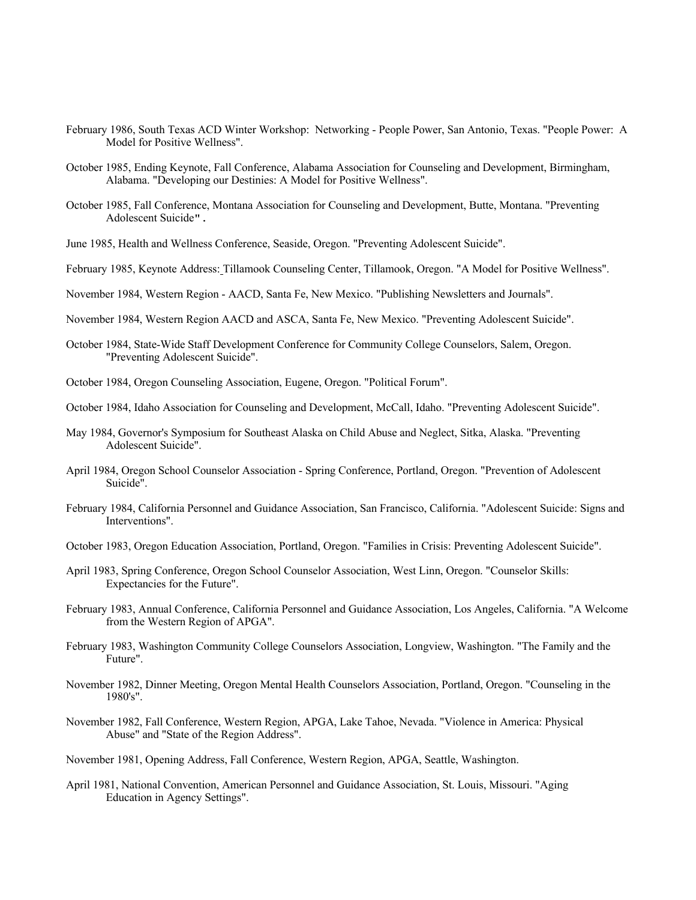- February 1986, South Texas ACD Winter Workshop: Networking People Power, San Antonio, Texas. "People Power: A Model for Positive Wellness".
- October 1985, Ending Keynote, Fall Conference, Alabama Association for Counseling and Development, Birmingham, Alabama. "Developing our Destinies: A Model for Positive Wellness".
- October 1985, Fall Conference, Montana Association for Counseling and Development, Butte, Montana. "Preventing Adolescent Suicide".
- June 1985, Health and Wellness Conference, Seaside, Oregon. "Preventing Adolescent Suicide".
- February 1985, Keynote Address: Tillamook Counseling Center, Tillamook, Oregon. "A Model for Positive Wellness".
- November 1984, Western Region AACD, Santa Fe, New Mexico. "Publishing Newsletters and Journals".
- November 1984, Western Region AACD and ASCA, Santa Fe, New Mexico. "Preventing Adolescent Suicide".
- October 1984, State-Wide Staff Development Conference for Community College Counselors, Salem, Oregon. "Preventing Adolescent Suicide".
- October 1984, Oregon Counseling Association, Eugene, Oregon. "Political Forum".
- October 1984, Idaho Association for Counseling and Development, McCall, Idaho. "Preventing Adolescent Suicide".
- May 1984, Governor's Symposium for Southeast Alaska on Child Abuse and Neglect, Sitka, Alaska. "Preventing Adolescent Suicide".
- April 1984, Oregon School Counselor Association Spring Conference, Portland, Oregon. "Prevention of Adolescent Suicide".
- February 1984, California Personnel and Guidance Association, San Francisco, California. "Adolescent Suicide: Signs and Interventions".
- October 1983, Oregon Education Association, Portland, Oregon. "Families in Crisis: Preventing Adolescent Suicide".
- April 1983, Spring Conference, Oregon School Counselor Association, West Linn, Oregon. "Counselor Skills: Expectancies for the Future".
- February 1983, Annual Conference, California Personnel and Guidance Association, Los Angeles, California. "A Welcome from the Western Region of APGA".
- February 1983, Washington Community College Counselors Association, Longview, Washington. "The Family and the Future".
- November 1982, Dinner Meeting, Oregon Mental Health Counselors Association, Portland, Oregon. "Counseling in the 1980's".
- November 1982, Fall Conference, Western Region, APGA, Lake Tahoe, Nevada. "Violence in America: Physical Abuse" and "State of the Region Address".
- November 1981, Opening Address, Fall Conference, Western Region, APGA, Seattle, Washington.
- April 1981, National Convention, American Personnel and Guidance Association, St. Louis, Missouri. "Aging Education in Agency Settings".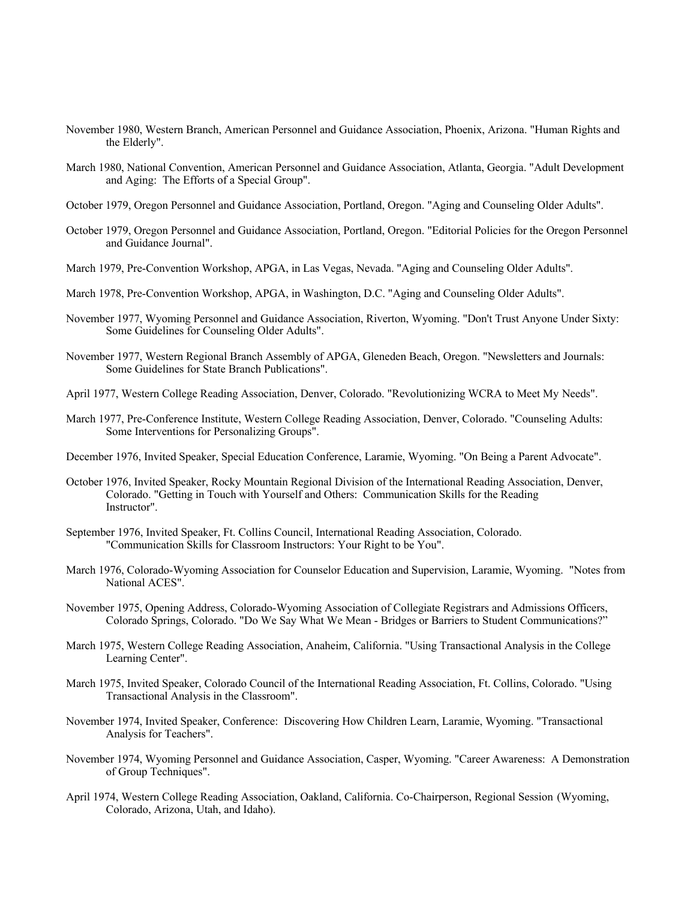- November 1980, Western Branch, American Personnel and Guidance Association, Phoenix, Arizona. "Human Rights and the Elderly".
- March 1980, National Convention, American Personnel and Guidance Association, Atlanta, Georgia. "Adult Development and Aging: The Efforts of a Special Group".
- October 1979, Oregon Personnel and Guidance Association, Portland, Oregon. "Aging and Counseling Older Adults".
- October 1979, Oregon Personnel and Guidance Association, Portland, Oregon. "Editorial Policies for the Oregon Personnel and Guidance Journal".
- March 1979, Pre-Convention Workshop, APGA, in Las Vegas, Nevada. "Aging and Counseling Older Adults".
- March 1978, Pre-Convention Workshop, APGA, in Washington, D.C. "Aging and Counseling Older Adults".
- November 1977, Wyoming Personnel and Guidance Association, Riverton, Wyoming. "Don't Trust Anyone Under Sixty: Some Guidelines for Counseling Older Adults".
- November 1977, Western Regional Branch Assembly of APGA, Gleneden Beach, Oregon. "Newsletters and Journals: Some Guidelines for State Branch Publications".
- April 1977, Western College Reading Association, Denver, Colorado. "Revolutionizing WCRA to Meet My Needs".
- March 1977, Pre-Conference Institute, Western College Reading Association, Denver, Colorado. "Counseling Adults: Some Interventions for Personalizing Groups".
- December 1976, Invited Speaker, Special Education Conference, Laramie, Wyoming. "On Being a Parent Advocate".
- October 1976, Invited Speaker, Rocky Mountain Regional Division of the International Reading Association, Denver, Colorado. "Getting in Touch with Yourself and Others: Communication Skills for the Reading Instructor".
- September 1976, Invited Speaker, Ft. Collins Council, International Reading Association, Colorado. "Communication Skills for Classroom Instructors: Your Right to be You".
- March 1976, Colorado-Wyoming Association for Counselor Education and Supervision, Laramie, Wyoming. "Notes from National ACES".
- November 1975, Opening Address, Colorado-Wyoming Association of Collegiate Registrars and Admissions Officers, Colorado Springs, Colorado. "Do We Say What We Mean - Bridges or Barriers to Student Communications?"
- March 1975, Western College Reading Association, Anaheim, California. "Using Transactional Analysis in the College Learning Center".
- March 1975, Invited Speaker, Colorado Council of the International Reading Association, Ft. Collins, Colorado. "Using Transactional Analysis in the Classroom".
- November 1974, Invited Speaker, Conference: Discovering How Children Learn, Laramie, Wyoming. "Transactional Analysis for Teachers".
- November 1974, Wyoming Personnel and Guidance Association, Casper, Wyoming. "Career Awareness: A Demonstration of Group Techniques".
- April 1974, Western College Reading Association, Oakland, California. Co-Chairperson, Regional Session (Wyoming, Colorado, Arizona, Utah, and Idaho).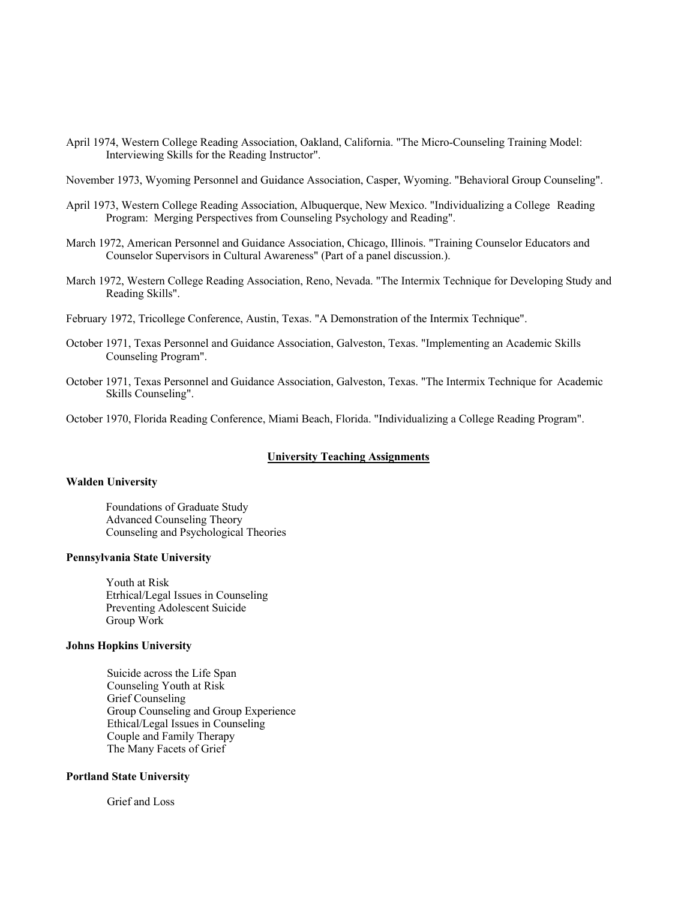- April 1974, Western College Reading Association, Oakland, California. "The Micro-Counseling Training Model: Interviewing Skills for the Reading Instructor".
- November 1973, Wyoming Personnel and Guidance Association, Casper, Wyoming. "Behavioral Group Counseling".
- April 1973, Western College Reading Association, Albuquerque, New Mexico. "Individualizing a College Reading Program: Merging Perspectives from Counseling Psychology and Reading".
- March 1972, American Personnel and Guidance Association, Chicago, Illinois. "Training Counselor Educators and Counselor Supervisors in Cultural Awareness" (Part of a panel discussion.).
- March 1972, Western College Reading Association, Reno, Nevada. "The Intermix Technique for Developing Study and Reading Skills".
- February 1972, Tricollege Conference, Austin, Texas. "A Demonstration of the Intermix Technique".
- October 1971, Texas Personnel and Guidance Association, Galveston, Texas. "Implementing an Academic Skills Counseling Program".
- October 1971, Texas Personnel and Guidance Association, Galveston, Texas. "The Intermix Technique for Academic Skills Counseling".
- October 1970, Florida Reading Conference, Miami Beach, Florida. "Individualizing a College Reading Program".

## **University Teaching Assignments**

#### **Walden University**

Foundations of Graduate Study Advanced Counseling Theory Counseling and Psychological Theories

## **Pennsylvania State University**

Youth at Risk Etrhical/Legal Issues in Counseling Preventing Adolescent Suicide Group Work

# **Johns Hopkins University**

Suicide across the Life Span Counseling Youth at Risk Grief Counseling Group Counseling and Group Experience Ethical/Legal Issues in Counseling Couple and Family Therapy The Many Facets of Grief

#### **Portland State University**

Grief and Loss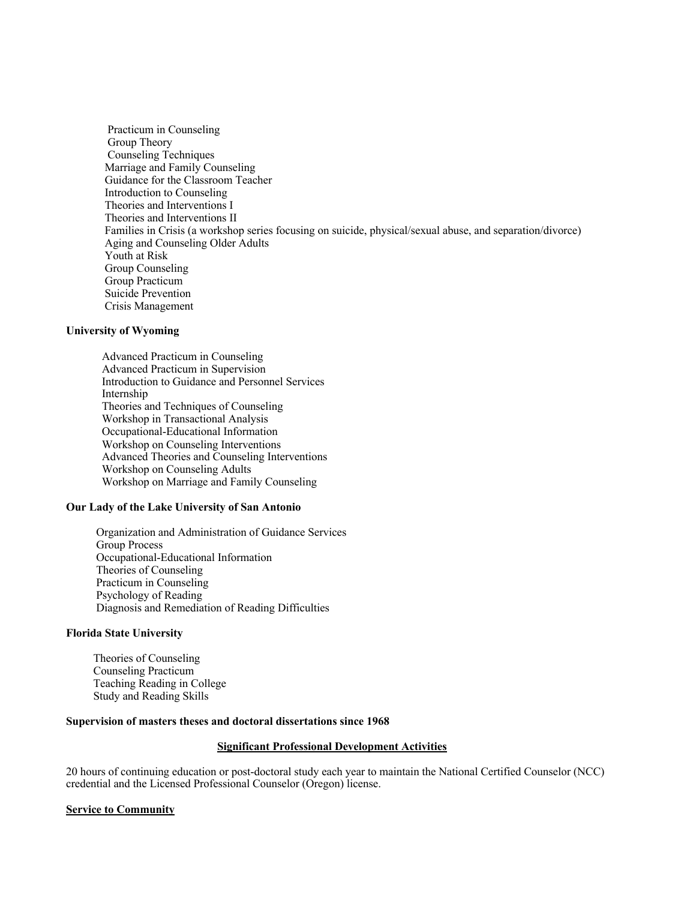Practicum in Counseling Group Theory Counseling Techniques Marriage and Family Counseling Guidance for the Classroom Teacher Introduction to Counseling Theories and Interventions I Theories and Interventions II Families in Crisis (a workshop series focusing on suicide, physical/sexual abuse, and separation/divorce) Aging and Counseling Older Adults Youth at Risk Group Counseling Group Practicum Suicide Prevention Crisis Management

# **University of Wyoming**

 Advanced Practicum in Counseling Advanced Practicum in Supervision Introduction to Guidance and Personnel Services Internship Theories and Techniques of Counseling Workshop in Transactional Analysis Occupational-Educational Information Workshop on Counseling Interventions Advanced Theories and Counseling Interventions Workshop on Counseling Adults Workshop on Marriage and Family Counseling

# **Our Lady of the Lake University of San Antonio**

Organization and Administration of Guidance Services Group Process Occupational-Educational Information Theories of Counseling Practicum in Counseling Psychology of Reading Diagnosis and Remediation of Reading Difficulties

## **Florida State University**

Theories of Counseling Counseling Practicum Teaching Reading in College Study and Reading Skills

## **Supervision of masters theses and doctoral dissertations since 1968**

## **Significant Professional Development Activities**

20 hours of continuing education or post-doctoral study each year to maintain the National Certified Counselor (NCC) credential and the Licensed Professional Counselor (Oregon) license.

## **Service to Community**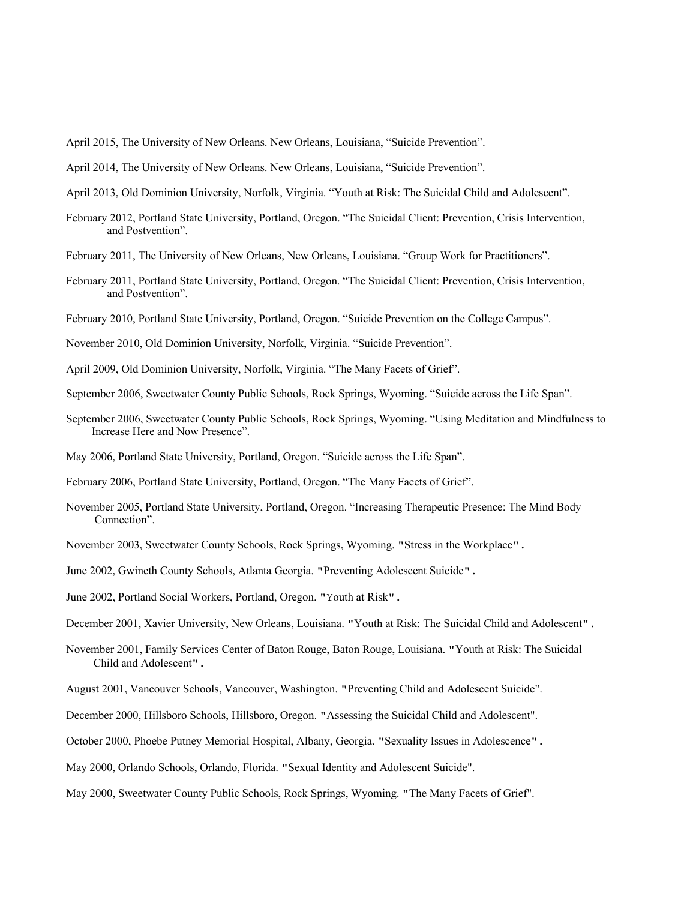April 2015, The University of New Orleans. New Orleans, Louisiana, "Suicide Prevention".

April 2014, The University of New Orleans. New Orleans, Louisiana, "Suicide Prevention".

April 2013, Old Dominion University, Norfolk, Virginia. "Youth at Risk: The Suicidal Child and Adolescent".

- February 2012, Portland State University, Portland, Oregon. "The Suicidal Client: Prevention, Crisis Intervention, and Postvention".
- February 2011, The University of New Orleans, New Orleans, Louisiana. "Group Work for Practitioners".
- February 2011, Portland State University, Portland, Oregon. "The Suicidal Client: Prevention, Crisis Intervention, and Postvention".
- February 2010, Portland State University, Portland, Oregon. "Suicide Prevention on the College Campus".
- November 2010, Old Dominion University, Norfolk, Virginia. "Suicide Prevention".
- April 2009, Old Dominion University, Norfolk, Virginia. "The Many Facets of Grief".
- September 2006, Sweetwater County Public Schools, Rock Springs, Wyoming. "Suicide across the Life Span".
- September 2006, Sweetwater County Public Schools, Rock Springs, Wyoming. "Using Meditation and Mindfulness to Increase Here and Now Presence".
- May 2006, Portland State University, Portland, Oregon. "Suicide across the Life Span".

February 2006, Portland State University, Portland, Oregon. "The Many Facets of Grief".

- November 2005, Portland State University, Portland, Oregon. "Increasing Therapeutic Presence: The Mind Body Connection".
- November 2003, Sweetwater County Schools, Rock Springs, Wyoming. "Stress in the Workplace".
- June 2002, Gwineth County Schools, Atlanta Georgia. "Preventing Adolescent Suicide".
- June 2002, Portland Social Workers, Portland, Oregon. "Youth at Risk".
- December 2001, Xavier University, New Orleans, Louisiana. "Youth at Risk: The Suicidal Child and Adolescent".
- November 2001, Family Services Center of Baton Rouge, Baton Rouge, Louisiana. "Youth at Risk: The Suicidal Child and Adolescent".
- August 2001, Vancouver Schools, Vancouver, Washington. "Preventing Child and Adolescent Suicide".
- December 2000, Hillsboro Schools, Hillsboro, Oregon. "Assessing the Suicidal Child and Adolescent".
- October 2000, Phoebe Putney Memorial Hospital, Albany, Georgia. "Sexuality Issues in Adolescence".
- May 2000, Orlando Schools, Orlando, Florida. "Sexual Identity and Adolescent Suicide".
- May 2000, Sweetwater County Public Schools, Rock Springs, Wyoming. "The Many Facets of Grief".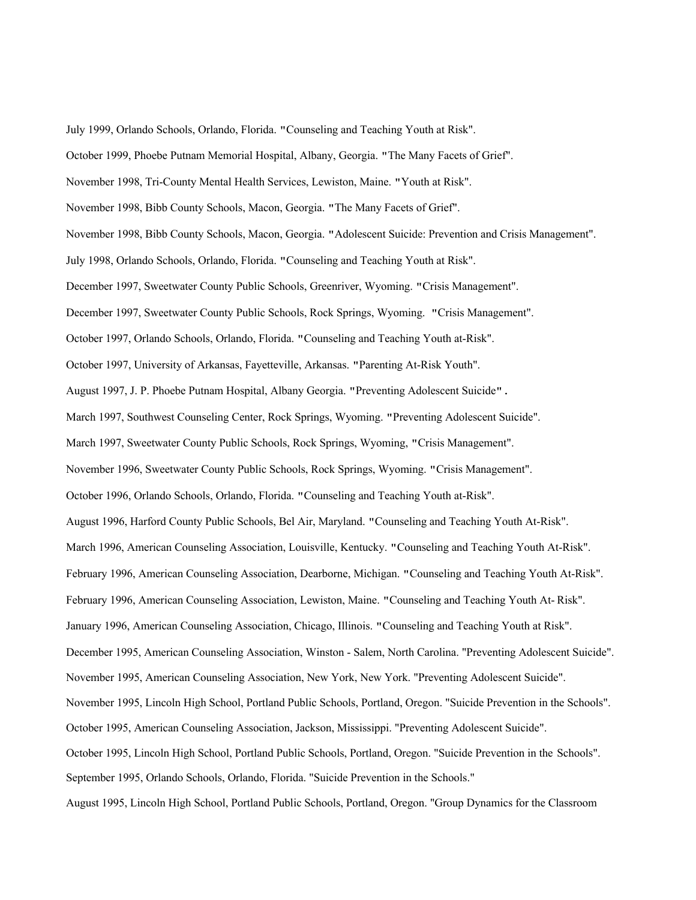July 1999, Orlando Schools, Orlando, Florida. "Counseling and Teaching Youth at Risk".

October 1999, Phoebe Putnam Memorial Hospital, Albany, Georgia. "The Many Facets of Grief".

- November 1998, Tri-County Mental Health Services, Lewiston, Maine. "Youth at Risk".
- November 1998, Bibb County Schools, Macon, Georgia. "The Many Facets of Grief".
- November 1998, Bibb County Schools, Macon, Georgia. "Adolescent Suicide: Prevention and Crisis Management".
- July 1998, Orlando Schools, Orlando, Florida. "Counseling and Teaching Youth at Risk".

December 1997, Sweetwater County Public Schools, Greenriver, Wyoming. "Crisis Management".

- December 1997, Sweetwater County Public Schools, Rock Springs, Wyoming. "Crisis Management".
- October 1997, Orlando Schools, Orlando, Florida. "Counseling and Teaching Youth at-Risk".
- October 1997, University of Arkansas, Fayetteville, Arkansas. "Parenting At-Risk Youth".
- August 1997, J. P. Phoebe Putnam Hospital, Albany Georgia. "Preventing Adolescent Suicide".
- March 1997, Southwest Counseling Center, Rock Springs, Wyoming. "Preventing Adolescent Suicide".
- March 1997, Sweetwater County Public Schools, Rock Springs, Wyoming, "Crisis Management".
- November 1996, Sweetwater County Public Schools, Rock Springs, Wyoming. "Crisis Management".
- October 1996, Orlando Schools, Orlando, Florida. "Counseling and Teaching Youth at-Risk".
- August 1996, Harford County Public Schools, Bel Air, Maryland. "Counseling and Teaching Youth At-Risk".
- March 1996, American Counseling Association, Louisville, Kentucky. "Counseling and Teaching Youth At-Risk".
- February 1996, American Counseling Association, Dearborne, Michigan. "Counseling and Teaching Youth At-Risk".
- February 1996, American Counseling Association, Lewiston, Maine. "Counseling and Teaching Youth At- Risk".
- January 1996, American Counseling Association, Chicago, Illinois. "Counseling and Teaching Youth at Risk".
- December 1995, American Counseling Association, Winston Salem, North Carolina. "Preventing Adolescent Suicide".
- November 1995, American Counseling Association, New York, New York. "Preventing Adolescent Suicide".
- November 1995, Lincoln High School, Portland Public Schools, Portland, Oregon. "Suicide Prevention in the Schools".
- October 1995, American Counseling Association, Jackson, Mississippi. "Preventing Adolescent Suicide".
- October 1995, Lincoln High School, Portland Public Schools, Portland, Oregon. "Suicide Prevention in the Schools".
- September 1995, Orlando Schools, Orlando, Florida. "Suicide Prevention in the Schools."
- August 1995, Lincoln High School, Portland Public Schools, Portland, Oregon. "Group Dynamics for the Classroom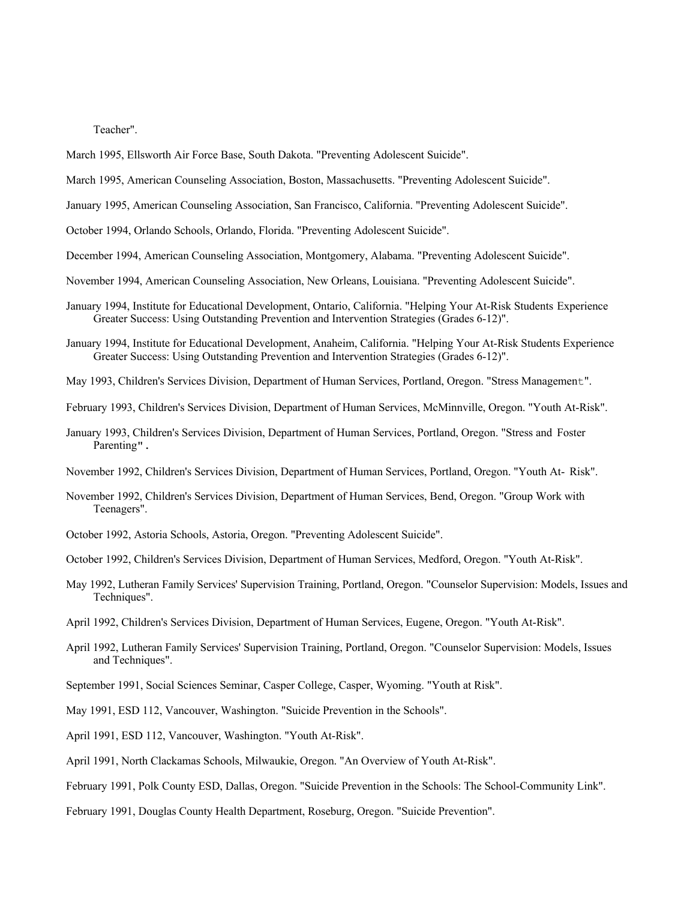Teacher".

- March 1995, Ellsworth Air Force Base, South Dakota. "Preventing Adolescent Suicide".
- March 1995, American Counseling Association, Boston, Massachusetts. "Preventing Adolescent Suicide".
- January 1995, American Counseling Association, San Francisco, California. "Preventing Adolescent Suicide".
- October 1994, Orlando Schools, Orlando, Florida. "Preventing Adolescent Suicide".
- December 1994, American Counseling Association, Montgomery, Alabama. "Preventing Adolescent Suicide".
- November 1994, American Counseling Association, New Orleans, Louisiana. "Preventing Adolescent Suicide".
- January 1994, Institute for Educational Development, Ontario, California. "Helping Your At-Risk Students Experience Greater Success: Using Outstanding Prevention and Intervention Strategies (Grades 6-12)".
- January 1994, Institute for Educational Development, Anaheim, California. "Helping Your At-Risk Students Experience Greater Success: Using Outstanding Prevention and Intervention Strategies (Grades 6-12)".
- May 1993, Children's Services Division, Department of Human Services, Portland, Oregon. "Stress Management".
- February 1993, Children's Services Division, Department of Human Services, McMinnville, Oregon. "Youth At-Risk".
- January 1993, Children's Services Division, Department of Human Services, Portland, Oregon. "Stress and Foster Parenting".
- November 1992, Children's Services Division, Department of Human Services, Portland, Oregon. "Youth At- Risk".
- November 1992, Children's Services Division, Department of Human Services, Bend, Oregon. "Group Work with Teenagers".
- October 1992, Astoria Schools, Astoria, Oregon. "Preventing Adolescent Suicide".
- October 1992, Children's Services Division, Department of Human Services, Medford, Oregon. "Youth At-Risk".
- May 1992, Lutheran Family Services' Supervision Training, Portland, Oregon. "Counselor Supervision: Models, Issues and Techniques".
- April 1992, Children's Services Division, Department of Human Services, Eugene, Oregon. "Youth At-Risk".
- April 1992, Lutheran Family Services' Supervision Training, Portland, Oregon. "Counselor Supervision: Models, Issues and Techniques".
- September 1991, Social Sciences Seminar, Casper College, Casper, Wyoming. "Youth at Risk".
- May 1991, ESD 112, Vancouver, Washington. "Suicide Prevention in the Schools".
- April 1991, ESD 112, Vancouver, Washington. "Youth At-Risk".
- April 1991, North Clackamas Schools, Milwaukie, Oregon. "An Overview of Youth At-Risk".
- February 1991, Polk County ESD, Dallas, Oregon. "Suicide Prevention in the Schools: The School-Community Link".
- February 1991, Douglas County Health Department, Roseburg, Oregon. "Suicide Prevention".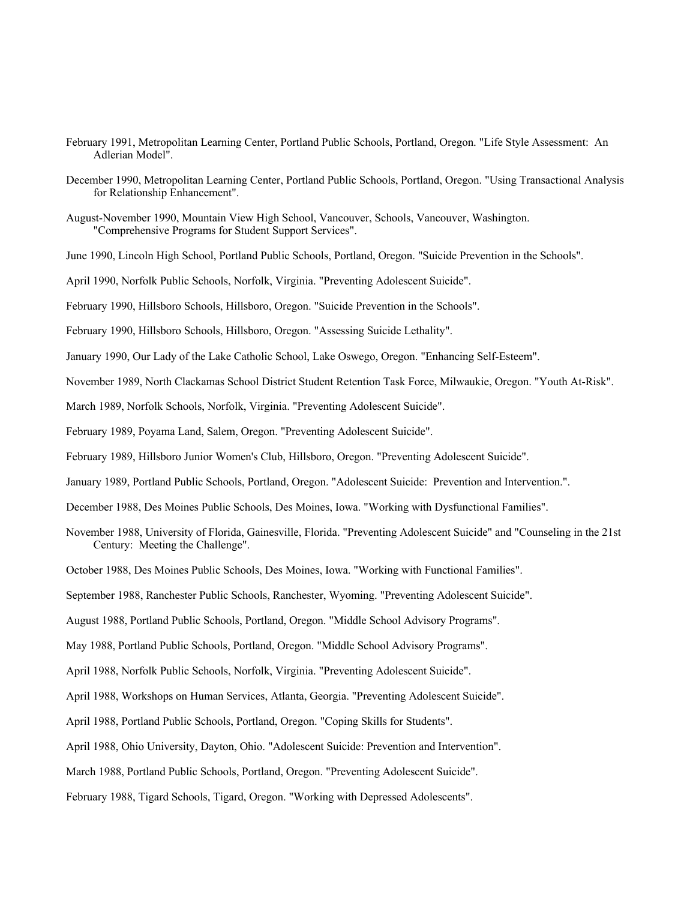- February 1991, Metropolitan Learning Center, Portland Public Schools, Portland, Oregon. "Life Style Assessment: An Adlerian Model".
- December 1990, Metropolitan Learning Center, Portland Public Schools, Portland, Oregon. "Using Transactional Analysis for Relationship Enhancement".
- August-November 1990, Mountain View High School, Vancouver, Schools, Vancouver, Washington. "Comprehensive Programs for Student Support Services".
- June 1990, Lincoln High School, Portland Public Schools, Portland, Oregon. "Suicide Prevention in the Schools".
- April 1990, Norfolk Public Schools, Norfolk, Virginia. "Preventing Adolescent Suicide".
- February 1990, Hillsboro Schools, Hillsboro, Oregon. "Suicide Prevention in the Schools".
- February 1990, Hillsboro Schools, Hillsboro, Oregon. "Assessing Suicide Lethality".
- January 1990, Our Lady of the Lake Catholic School, Lake Oswego, Oregon. "Enhancing Self-Esteem".
- November 1989, North Clackamas School District Student Retention Task Force, Milwaukie, Oregon. "Youth At-Risk".
- March 1989, Norfolk Schools, Norfolk, Virginia. "Preventing Adolescent Suicide".
- February 1989, Poyama Land, Salem, Oregon. "Preventing Adolescent Suicide".
- February 1989, Hillsboro Junior Women's Club, Hillsboro, Oregon. "Preventing Adolescent Suicide".
- January 1989, Portland Public Schools, Portland, Oregon. "Adolescent Suicide: Prevention and Intervention.".
- December 1988, Des Moines Public Schools, Des Moines, Iowa. "Working with Dysfunctional Families".
- November 1988, University of Florida, Gainesville, Florida. "Preventing Adolescent Suicide" and "Counseling in the 21st Century: Meeting the Challenge".
- October 1988, Des Moines Public Schools, Des Moines, Iowa. "Working with Functional Families".
- September 1988, Ranchester Public Schools, Ranchester, Wyoming. "Preventing Adolescent Suicide".
- August 1988, Portland Public Schools, Portland, Oregon. "Middle School Advisory Programs".
- May 1988, Portland Public Schools, Portland, Oregon. "Middle School Advisory Programs".
- April 1988, Norfolk Public Schools, Norfolk, Virginia. "Preventing Adolescent Suicide".
- April 1988, Workshops on Human Services, Atlanta, Georgia. "Preventing Adolescent Suicide".
- April 1988, Portland Public Schools, Portland, Oregon. "Coping Skills for Students".
- April 1988, Ohio University, Dayton, Ohio. "Adolescent Suicide: Prevention and Intervention".
- March 1988, Portland Public Schools, Portland, Oregon. "Preventing Adolescent Suicide".
- February 1988, Tigard Schools, Tigard, Oregon. "Working with Depressed Adolescents".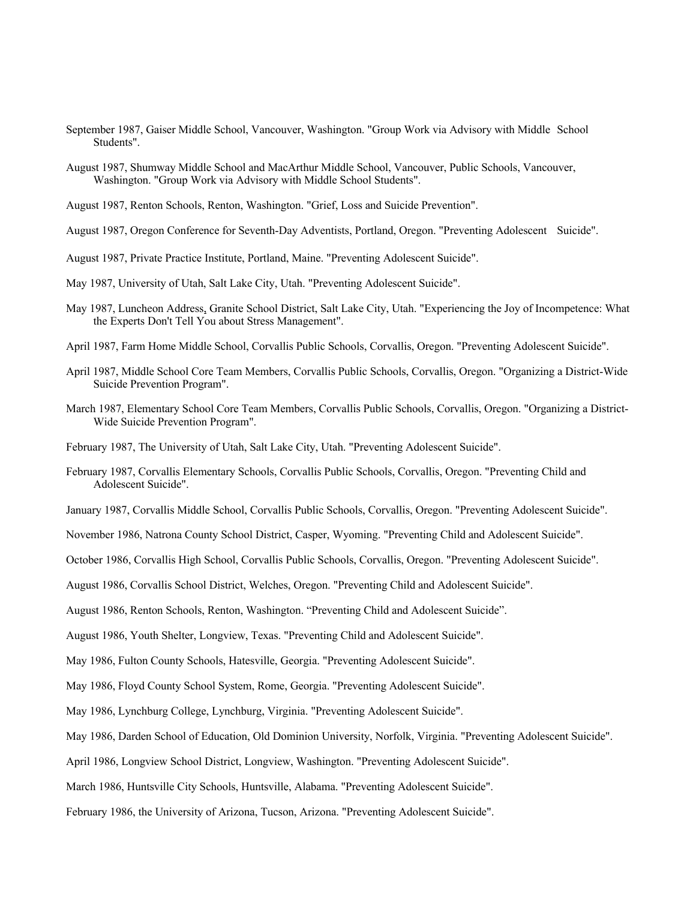- September 1987, Gaiser Middle School, Vancouver, Washington. "Group Work via Advisory with Middle School Students".
- August 1987, Shumway Middle School and MacArthur Middle School, Vancouver, Public Schools, Vancouver, Washington. "Group Work via Advisory with Middle School Students".
- August 1987, Renton Schools, Renton, Washington. "Grief, Loss and Suicide Prevention".
- August 1987, Oregon Conference for Seventh-Day Adventists, Portland, Oregon. "Preventing Adolescent Suicide".
- August 1987, Private Practice Institute, Portland, Maine. "Preventing Adolescent Suicide".
- May 1987, University of Utah, Salt Lake City, Utah. "Preventing Adolescent Suicide".
- May 1987, Luncheon Address, Granite School District, Salt Lake City, Utah. "Experiencing the Joy of Incompetence: What the Experts Don't Tell You about Stress Management".
- April 1987, Farm Home Middle School, Corvallis Public Schools, Corvallis, Oregon. "Preventing Adolescent Suicide".
- April 1987, Middle School Core Team Members, Corvallis Public Schools, Corvallis, Oregon. "Organizing a District-Wide Suicide Prevention Program".
- March 1987, Elementary School Core Team Members, Corvallis Public Schools, Corvallis, Oregon. "Organizing a District-Wide Suicide Prevention Program".
- February 1987, The University of Utah, Salt Lake City, Utah. "Preventing Adolescent Suicide".
- February 1987, Corvallis Elementary Schools, Corvallis Public Schools, Corvallis, Oregon. "Preventing Child and Adolescent Suicide".
- January 1987, Corvallis Middle School, Corvallis Public Schools, Corvallis, Oregon. "Preventing Adolescent Suicide".
- November 1986, Natrona County School District, Casper, Wyoming. "Preventing Child and Adolescent Suicide".
- October 1986, Corvallis High School, Corvallis Public Schools, Corvallis, Oregon. "Preventing Adolescent Suicide".
- August 1986, Corvallis School District, Welches, Oregon. "Preventing Child and Adolescent Suicide".
- August 1986, Renton Schools, Renton, Washington. "Preventing Child and Adolescent Suicide".
- August 1986, Youth Shelter, Longview, Texas. "Preventing Child and Adolescent Suicide".
- May 1986, Fulton County Schools, Hatesville, Georgia. "Preventing Adolescent Suicide".
- May 1986, Floyd County School System, Rome, Georgia. "Preventing Adolescent Suicide".
- May 1986, Lynchburg College, Lynchburg, Virginia. "Preventing Adolescent Suicide".
- May 1986, Darden School of Education, Old Dominion University, Norfolk, Virginia. "Preventing Adolescent Suicide".
- April 1986, Longview School District, Longview, Washington. "Preventing Adolescent Suicide".
- March 1986, Huntsville City Schools, Huntsville, Alabama. "Preventing Adolescent Suicide".
- February 1986, the University of Arizona, Tucson, Arizona. "Preventing Adolescent Suicide".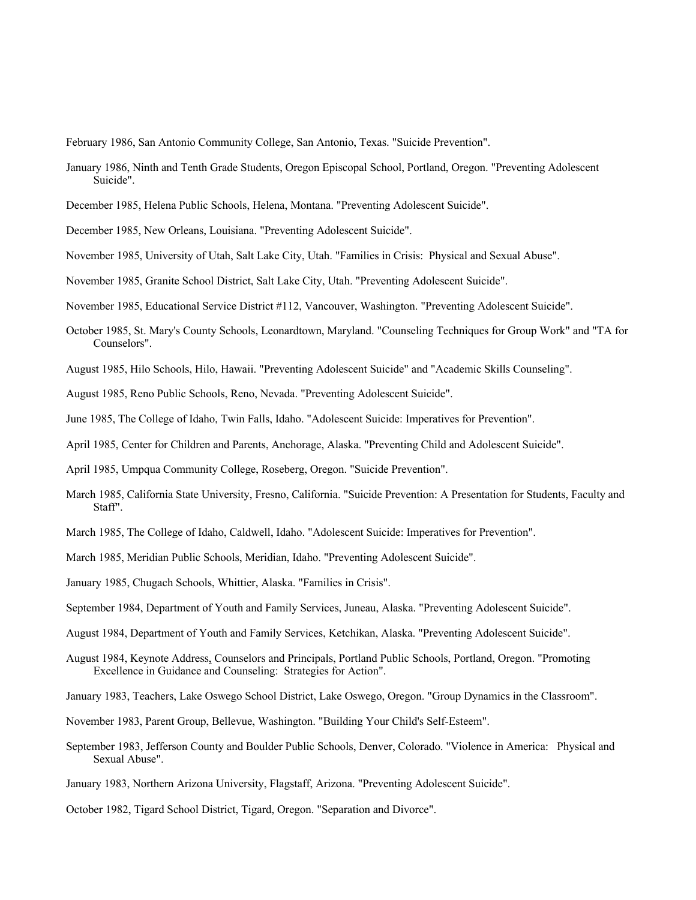February 1986, San Antonio Community College, San Antonio, Texas. "Suicide Prevention".

- January 1986, Ninth and Tenth Grade Students, Oregon Episcopal School, Portland, Oregon. "Preventing Adolescent Suicide".
- December 1985, Helena Public Schools, Helena, Montana. "Preventing Adolescent Suicide".
- December 1985, New Orleans, Louisiana. "Preventing Adolescent Suicide".
- November 1985, University of Utah, Salt Lake City, Utah. "Families in Crisis: Physical and Sexual Abuse".
- November 1985, Granite School District, Salt Lake City, Utah. "Preventing Adolescent Suicide".
- November 1985, Educational Service District #112, Vancouver, Washington. "Preventing Adolescent Suicide".
- October 1985, St. Mary's County Schools, Leonardtown, Maryland. "Counseling Techniques for Group Work" and "TA for Counselors".
- August 1985, Hilo Schools, Hilo, Hawaii. "Preventing Adolescent Suicide" and "Academic Skills Counseling".
- August 1985, Reno Public Schools, Reno, Nevada. "Preventing Adolescent Suicide".
- June 1985, The College of Idaho, Twin Falls, Idaho. "Adolescent Suicide: Imperatives for Prevention".
- April 1985, Center for Children and Parents, Anchorage, Alaska. "Preventing Child and Adolescent Suicide".
- April 1985, Umpqua Community College, Roseberg, Oregon. "Suicide Prevention".
- March 1985, California State University, Fresno, California. "Suicide Prevention: A Presentation for Students, Faculty and Staff".
- March 1985, The College of Idaho, Caldwell, Idaho. "Adolescent Suicide: Imperatives for Prevention".
- March 1985, Meridian Public Schools, Meridian, Idaho. "Preventing Adolescent Suicide".
- January 1985, Chugach Schools, Whittier, Alaska. "Families in Crisis".
- September 1984, Department of Youth and Family Services, Juneau, Alaska. "Preventing Adolescent Suicide".
- August 1984, Department of Youth and Family Services, Ketchikan, Alaska. "Preventing Adolescent Suicide".
- August 1984, Keynote Address, Counselors and Principals, Portland Public Schools, Portland, Oregon. "Promoting Excellence in Guidance and Counseling: Strategies for Action".
- January 1983, Teachers, Lake Oswego School District, Lake Oswego, Oregon. "Group Dynamics in the Classroom".
- November 1983, Parent Group, Bellevue, Washington. "Building Your Child's Self-Esteem".
- September 1983, Jefferson County and Boulder Public Schools, Denver, Colorado. "Violence in America: Physical and Sexual Abuse".
- January 1983, Northern Arizona University, Flagstaff, Arizona. "Preventing Adolescent Suicide".
- October 1982, Tigard School District, Tigard, Oregon. "Separation and Divorce".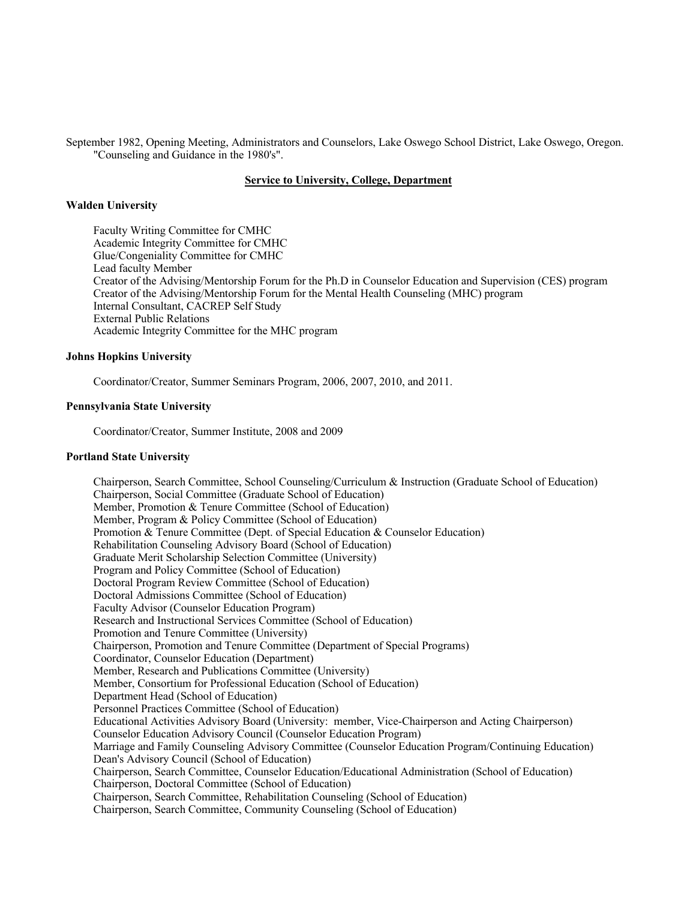September 1982, Opening Meeting, Administrators and Counselors, Lake Oswego School District, Lake Oswego, Oregon. "Counseling and Guidance in the 1980's".

# **Service to University, College, Department**

## **Walden University**

Faculty Writing Committee for CMHC Academic Integrity Committee for CMHC Glue/Congeniality Committee for CMHC Lead faculty Member Creator of the Advising/Mentorship Forum for the Ph.D in Counselor Education and Supervision (CES) program Creator of the Advising/Mentorship Forum for the Mental Health Counseling (MHC) program Internal Consultant, CACREP Self Study External Public Relations Academic Integrity Committee for the MHC program

## **Johns Hopkins University**

Coordinator/Creator, Summer Seminars Program, 2006, 2007, 2010, and 2011.

#### **Pennsylvania State University**

Coordinator/Creator, Summer Institute, 2008 and 2009

#### **Portland State University**

Chairperson, Search Committee, School Counseling/Curriculum & Instruction (Graduate School of Education) Chairperson, Social Committee (Graduate School of Education) Member, Promotion & Tenure Committee (School of Education) Member, Program & Policy Committee (School of Education) Promotion & Tenure Committee (Dept. of Special Education & Counselor Education) Rehabilitation Counseling Advisory Board (School of Education) Graduate Merit Scholarship Selection Committee (University) Program and Policy Committee (School of Education) Doctoral Program Review Committee (School of Education) Doctoral Admissions Committee (School of Education) Faculty Advisor (Counselor Education Program) Research and Instructional Services Committee (School of Education) Promotion and Tenure Committee (University) Chairperson, Promotion and Tenure Committee (Department of Special Programs) Coordinator, Counselor Education (Department) Member, Research and Publications Committee (University) Member, Consortium for Professional Education (School of Education) Department Head (School of Education) Personnel Practices Committee (School of Education) Educational Activities Advisory Board (University: member, Vice-Chairperson and Acting Chairperson) Counselor Education Advisory Council (Counselor Education Program) Marriage and Family Counseling Advisory Committee (Counselor Education Program/Continuing Education) Dean's Advisory Council (School of Education) Chairperson, Search Committee, Counselor Education/Educational Administration (School of Education) Chairperson, Doctoral Committee (School of Education) Chairperson, Search Committee, Rehabilitation Counseling (School of Education) Chairperson, Search Committee, Community Counseling (School of Education)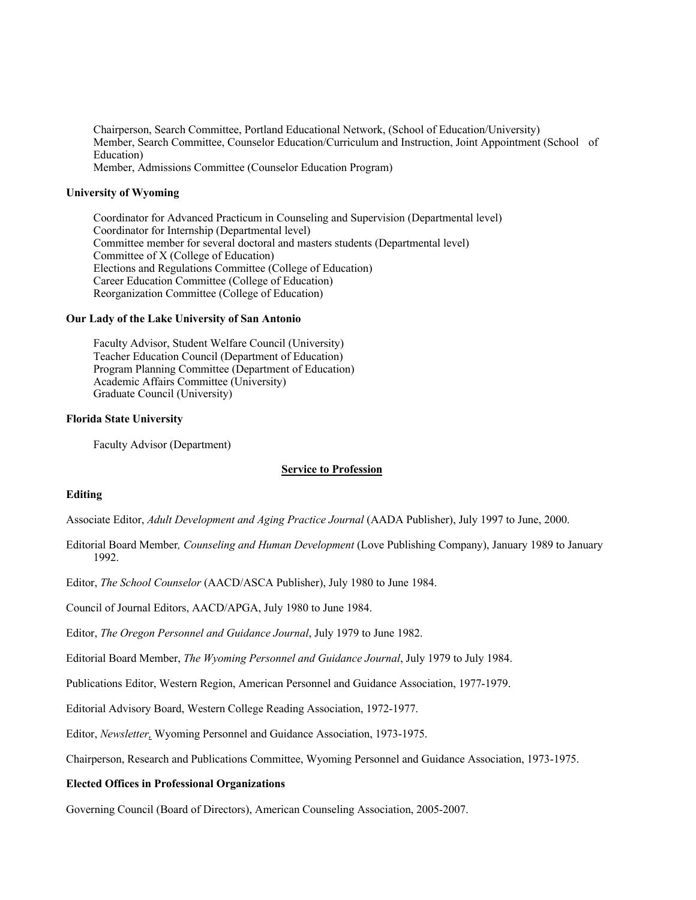Chairperson, Search Committee, Portland Educational Network, (School of Education/University) Member, Search Committee, Counselor Education/Curriculum and Instruction, Joint Appointment (School of Education) Member, Admissions Committee (Counselor Education Program)

### **University of Wyoming**

Coordinator for Advanced Practicum in Counseling and Supervision (Departmental level) Coordinator for Internship (Departmental level) Committee member for several doctoral and masters students (Departmental level) Committee of X (College of Education) Elections and Regulations Committee (College of Education) Career Education Committee (College of Education) Reorganization Committee (College of Education)

## **Our Lady of the Lake University of San Antonio**

Faculty Advisor, Student Welfare Council (University) Teacher Education Council (Department of Education) Program Planning Committee (Department of Education) Academic Affairs Committee (University) Graduate Council (University)

#### **Florida State University**

Faculty Advisor (Department)

#### **Service to Profession**

## **Editing**

Associate Editor, *Adult Development and Aging Practice Journal* (AADA Publisher), July 1997 to June, 2000.

Editorial Board Member*, Counseling and Human Development* (Love Publishing Company), January 1989 to January 1992.

Editor, *The School Counselor* (AACD/ASCA Publisher), July 1980 to June 1984.

Council of Journal Editors, AACD/APGA, July 1980 to June 1984.

Editor, *The Oregon Personnel and Guidance Journal*, July 1979 to June 1982.

Editorial Board Member, *The Wyoming Personnel and Guidance Journal*, July 1979 to July 1984.

Publications Editor, Western Region, American Personnel and Guidance Association, 1977-1979.

Editorial Advisory Board, Western College Reading Association, 1972-1977.

Editor, *Newsletter,* Wyoming Personnel and Guidance Association, 1973-1975.

Chairperson, Research and Publications Committee, Wyoming Personnel and Guidance Association, 1973-1975.

#### **Elected Offices in Professional Organizations**

Governing Council (Board of Directors), American Counseling Association, 2005-2007.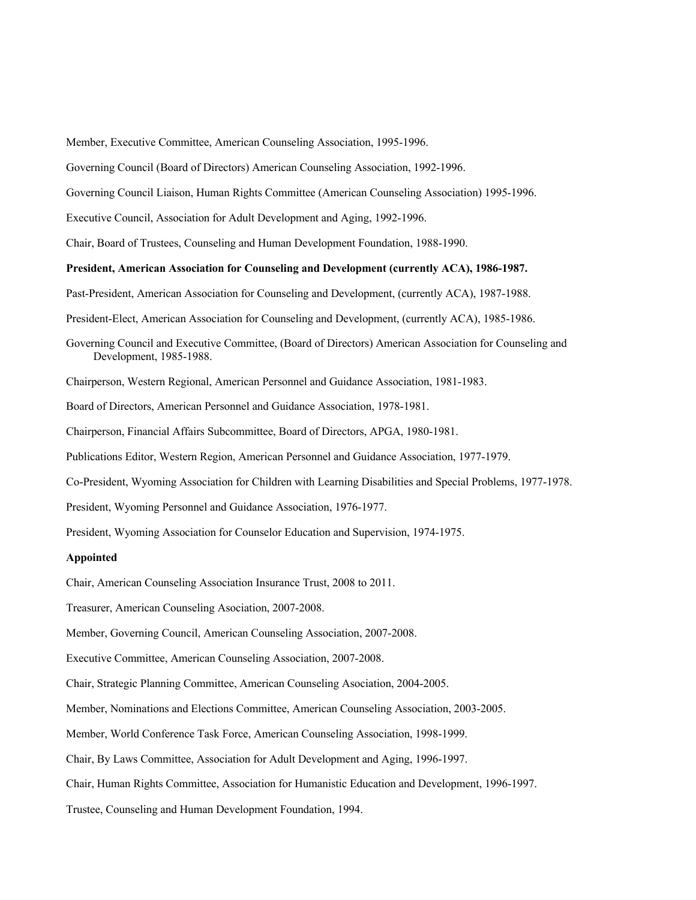Member, Executive Committee, American Counseling Association, 1995-1996.

Governing Council (Board of Directors) American Counseling Association, 1992-1996.

Governing Council Liaison, Human Rights Committee (American Counseling Association) 1995-1996.

Executive Council, Association for Adult Development and Aging, 1992-1996.

Chair, Board of Trustees, Counseling and Human Development Foundation, 1988-1990.

## **President, American Association for Counseling and Development (currently ACA), 1986-1987.**

Past-President, American Association for Counseling and Development, (currently ACA), 1987-1988.

President-Elect, American Association for Counseling and Development, (currently ACA), 1985-1986.

Governing Council and Executive Committee, (Board of Directors) American Association for Counseling and Development, 1985-1988.

Chairperson, Western Regional, American Personnel and Guidance Association, 1981-1983.

Board of Directors, American Personnel and Guidance Association, 1978-1981.

Chairperson, Financial Affairs Subcommittee, Board of Directors, APGA, 1980-1981.

Publications Editor, Western Region, American Personnel and Guidance Association, 1977-1979.

Co-President, Wyoming Association for Children with Learning Disabilities and Special Problems, 1977-1978.

President, Wyoming Personnel and Guidance Association, 1976-1977.

President, Wyoming Association for Counselor Education and Supervision, 1974-1975.

### **Appointed**

Chair, American Counseling Association Insurance Trust, 2008 to 2011.

Treasurer, American Counseling Asociation, 2007-2008.

Member, Governing Council, American Counseling Association, 2007-2008.

Executive Committee, American Counseling Association, 2007-2008.

Chair, Strategic Planning Committee, American Counseling Asociation, 2004-2005.

Member, Nominations and Elections Committee, American Counseling Association, 2003-2005.

Member, World Conference Task Force, American Counseling Association, 1998-1999.

Chair, By Laws Committee, Association for Adult Development and Aging, 1996-1997.

Chair, Human Rights Committee, Association for Humanistic Education and Development, 1996-1997.

Trustee, Counseling and Human Development Foundation, 1994.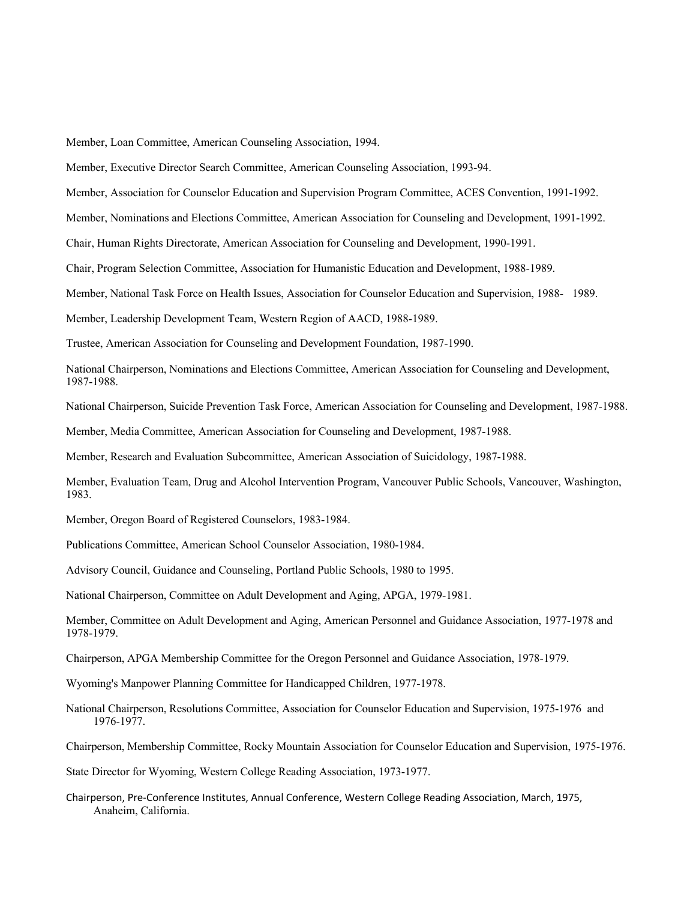Member, Loan Committee, American Counseling Association, 1994.

Member, Executive Director Search Committee, American Counseling Association, 1993-94.

Member, Association for Counselor Education and Supervision Program Committee, ACES Convention, 1991-1992.

Member, Nominations and Elections Committee, American Association for Counseling and Development, 1991-1992.

Chair, Human Rights Directorate, American Association for Counseling and Development, 1990-1991.

Chair, Program Selection Committee, Association for Humanistic Education and Development, 1988-1989.

Member, National Task Force on Health Issues, Association for Counselor Education and Supervision, 1988- 1989.

Member, Leadership Development Team, Western Region of AACD, 1988-1989.

Trustee, American Association for Counseling and Development Foundation, 1987-1990.

National Chairperson, Nominations and Elections Committee, American Association for Counseling and Development, 1987-1988.

National Chairperson, Suicide Prevention Task Force, American Association for Counseling and Development, 1987-1988.

Member, Media Committee, American Association for Counseling and Development, 1987-1988.

Member, Research and Evaluation Subcommittee, American Association of Suicidology, 1987-1988.

Member, Evaluation Team, Drug and Alcohol Intervention Program, Vancouver Public Schools, Vancouver, Washington, 1983.

Member, Oregon Board of Registered Counselors, 1983-1984.

Publications Committee, American School Counselor Association, 1980-1984.

Advisory Council, Guidance and Counseling, Portland Public Schools, 1980 to 1995.

National Chairperson, Committee on Adult Development and Aging, APGA, 1979-1981.

Member, Committee on Adult Development and Aging, American Personnel and Guidance Association, 1977-1978 and 1978-1979.

Chairperson, APGA Membership Committee for the Oregon Personnel and Guidance Association, 1978-1979.

Wyoming's Manpower Planning Committee for Handicapped Children, 1977-1978.

National Chairperson, Resolutions Committee, Association for Counselor Education and Supervision, 1975-1976 and 1976-1977.

Chairperson, Membership Committee, Rocky Mountain Association for Counselor Education and Supervision, 1975-1976.

State Director for Wyoming, Western College Reading Association, 1973-1977.

Chairperson, Pre-Conference Institutes, Annual Conference, Western College Reading Association, March, 1975, Anaheim, California.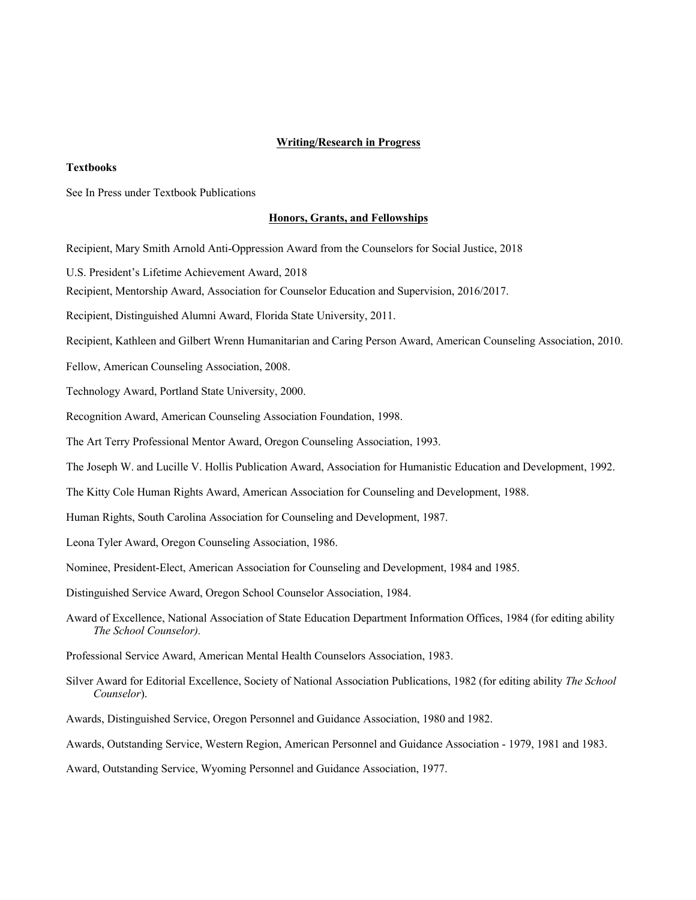### **Writing/Research in Progress**

#### **Textbooks**

See In Press under Textbook Publications

#### **Honors, Grants, and Fellowships**

Recipient, Mary Smith Arnold Anti-Oppression Award from the Counselors for Social Justice, 2018

U.S. President's Lifetime Achievement Award, 2018

Recipient, Mentorship Award, Association for Counselor Education and Supervision, 2016/2017.

Recipient, Distinguished Alumni Award, Florida State University, 2011.

Recipient, Kathleen and Gilbert Wrenn Humanitarian and Caring Person Award, American Counseling Association, 2010.

Fellow, American Counseling Association, 2008.

Technology Award, Portland State University, 2000.

Recognition Award, American Counseling Association Foundation, 1998.

The Art Terry Professional Mentor Award, Oregon Counseling Association, 1993.

The Joseph W. and Lucille V. Hollis Publication Award, Association for Humanistic Education and Development, 1992.

The Kitty Cole Human Rights Award, American Association for Counseling and Development, 1988.

Human Rights, South Carolina Association for Counseling and Development, 1987.

Leona Tyler Award, Oregon Counseling Association, 1986.

Nominee, President-Elect, American Association for Counseling and Development, 1984 and 1985.

Distinguished Service Award, Oregon School Counselor Association, 1984.

Award of Excellence, National Association of State Education Department Information Offices, 1984 (for editing ability *The School Counselor).*

Professional Service Award, American Mental Health Counselors Association, 1983.

Silver Award for Editorial Excellence, Society of National Association Publications, 1982 (for editing ability *The School Counselor*).

Awards, Distinguished Service, Oregon Personnel and Guidance Association, 1980 and 1982.

Awards, Outstanding Service, Western Region, American Personnel and Guidance Association - 1979, 1981 and 1983.

Award, Outstanding Service, Wyoming Personnel and Guidance Association, 1977.